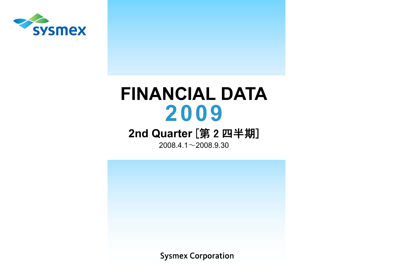

# **FINANCIAL DATA** 2009

## 2nd Quarter [第 2 四半期]

 $2008.4.1 \sim 2008.9.30$ 

**Sysmex Corporation**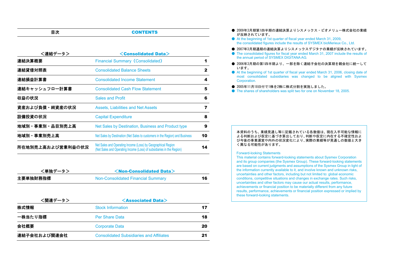#### **CONTENTS**

| <連結データ>           | $\leq$ Consolidated Data $>$                                                                                                          |    |
|-------------------|---------------------------------------------------------------------------------------------------------------------------------------|----|
| 連結決算概要            | <b>Financial Summary (Consolidated)</b>                                                                                               |    |
| 連結貸借対照表           | <b>Consolidated Balance Sheets</b>                                                                                                    | 2  |
| 連結損益計算書           | <b>Consolidated Income Statement</b>                                                                                                  | 4  |
| 連結キャッシュフロー計算書     | <b>Consolidated Cash Flow Statement</b>                                                                                               | 5  |
| 収益の状況             | <b>Sales and Profit</b>                                                                                                               | 6  |
| 資産および負債・純資産の状況    | Assets, Liabilities and Net Assets                                                                                                    | 7  |
| 設備投資の状況           | <b>Capital Expenditure</b>                                                                                                            | 8  |
| 地域別・事業別・品目別売上高    | Net Sales by Destination, Business and Product type                                                                                   | 9  |
| 地域別・事業別売上高        | Net Sales by Destination (Net Sales to customers in the Region) and Business                                                          | 10 |
| 所在地別売上高および営業利益の状況 | Net Sales and Operating Income (Loss) by Geographical Region<br>(Net Sales and Operating Income (Loss) of subsidiaries in the Region) | 14 |

| <単独データ>  | $\le$ Non-Consolidated Data $>$    |    |
|----------|------------------------------------|----|
| 主要単独財務指標 | Non-Consolidated Financial Summary | 16 |

| <関連データ>      | $\leq$ Associated Data $>$                      |    |  |  |  |  |
|--------------|-------------------------------------------------|----|--|--|--|--|
| 株式情報         | <b>Stock Information</b>                        | 17 |  |  |  |  |
| 一株当たり指標      | <b>Per Share Data</b>                           | 18 |  |  |  |  |
| 会社概要         | <b>Corporate Data</b>                           | 20 |  |  |  |  |
| 連結子会社および関連会社 | <b>Consolidated Subsidiaries and Affiliates</b> | 21 |  |  |  |  |

- 2009年3月期第1四半期の連結決算よりシスメックス・ビオメリュー株式会社の業績 が反映されています。
- At the beginning of 1st quarter of fiscal year ended March 31, 2009, the consolidated figures include the results of SYSMEX bioMerieux Co., Ltd.
- 2007年3月期通期の連結決算よりシスメックスデジタナの業績が反映されています。
- The consolidated figures for fiscal year ended March 31, 2007 include the results of the annual period of SYSMEX DIGITANA AG.
- 2006年3月期の第1四半期より、一部を除く連結子会社の決算期を親会社に統一して います。
- At the beginning of 1st quarter of fiscal year ended March 31, 2006, closing date of most consolidated subsidiaries was changed to be aligned with Sysmex Corporation.
- 2005年11月18日付で1株を2株に株式分割を実施しました。
- The shares of shareholders was split two for one on November 18, 2005.

#### 本資料のうち、業績見通し等に記載されている各数値は、現在入手可能な情報に よる判断および仮定に基づき算出しており、判断や仮定に内在する不確定性およ び今後の事業運営や内外の状況変化により、実際の業績等が見通しの数値と大きく異なる可能性があります。

#### Forward-looking Statements

This material contains forward-looking statements about Sysmex Corporation and its group companies (the Sysmex Group). These forward-looking statements are based on current judgments and assumptions of the Sysmex Group in light of the information currently available to it, and involve known and unknown risks, uncertainties and other factors, including but not limited to: global economic conditions, competitive situations and changes in exchange rates. Such risks, uncertainties and other factors may cause our actual results, performance, achievements or financial position to be materially different from any future results, performance, achievements or financial position expressed or implied by these forward-looking statements.

目次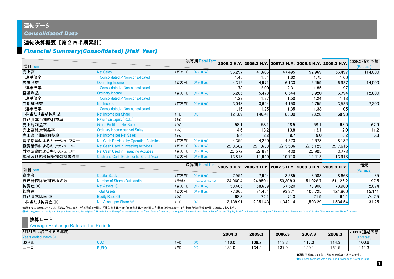## 連結データ *Consolidated Data*

## 連結決算概要[第2四半期累計]

## *Financial Summary(Consolidated) [Half Year]*

| 項目 Item          |                                           |       | 決算期 Fiscal Tern       |                   | 2005.3 Н.Ү. 2006.3 Н.Ү. 2007.3 Н.Ү. 2008.3 Н.Ү. 2009.3 Н.Ү.         |                   |                         |                   | 2009.3 通期予想<br>(Forecast) |
|------------------|-------------------------------------------|-------|-----------------------|-------------------|---------------------------------------------------------------------|-------------------|-------------------------|-------------------|---------------------------|
| 売上高              | <b>Net Sales</b>                          | (百万円) | $(*$ million)         | 36,297            | 41,606                                                              | 47,495            | 52,969                  | 56,497            | 114,000                   |
| 連単倍率             | Consolidated / Non-consolidated           |       |                       | 1.45              | 1.54                                                                | 1.62              | 1.75                    | 1.66              |                           |
| 営業利益             | <b>Operating Income</b>                   | (百万円) | $(*$ million)         | 4,312             | 4,971                                                               | 6,133             | 6,459                   | 6,927             | 14,000                    |
| 連単倍率             | Consolidated / Non-consolidated           |       |                       | 1.78              | 2.00                                                                | 2.31              | 1.85                    | 1.97              |                           |
| 経常利益             | Ordinary Income                           | (百万円) | $(*$ million)         | 5,285             | 5,473                                                               | 6,544             | 6,920                   | 6,794             | 12,800                    |
| 連単倍率             | Consolidated / Non-consolidated           |       |                       | 1.27              | 1.37                                                                | 1.50              | 1.24                    | 1.18              |                           |
| 当期純利益            | Net Income                                | (百万円) | $(*$ million)         | 3,043             | 3,654                                                               | 4,150             | 4,755                   | 3,526             | 7,200                     |
| 連単倍率             | Consolidated / Non-consolidated           |       |                       | 1.16              | 1.25                                                                | 1.35              | 1.33                    | 1.05              |                           |
| 1株当たり当期純利益       | Net Income per Share                      | (H)   | $(\cfrac{\gamma}{2})$ | 121.89            | 146.41                                                              | 83.00             | 93.28                   | 68.98             |                           |
| 自己資本当期純利益率       | Return on Equity [ROE]                    | (96)  |                       |                   |                                                                     |                   |                         |                   |                           |
| 売上総利益率           | <b>Gross Profit per Net Sales</b>         | (96)  |                       | 58.1              | 58.1                                                                | 58.5              | 59.1                    | 63.5              | 62.9                      |
| 売上高経常利益率         | <b>Ordinary Income per Net Sales</b>      | (96)  |                       | 14.6              | 13.2                                                                | 13.8              | 13.1                    | 12.0              | 11.2                      |
| 売上高当期純利益率        | Net Income per Net Sales                  | (96)  |                       | 8.4               | 8.8                                                                 | 8.7               | 9.0                     | 6.2               | 6.3                       |
| 営業活動によるキャッシュ・フロー | Net Cash Provided by Operating Activities | (百万円) | $(*$ million)         | 4,359             | 4,220                                                               | 4,273             | 5,673                   | 8,182             |                           |
| 投資活動によるキャッシュ・フロー | Net Cash Used in Investing Activities     | (百万円) | $(*$ million)         | $\triangle$ 3,682 | $\triangle$ 1,683                                                   | $\triangle$ 3,536 | $\Delta$ 5,123          | $\triangle$ 7,615 |                           |
| 財務活動によるキャッシュ・フロー | Net Cash Used in Financing Activities     | (百万円) | $(*$ million)         | $\Delta$ 572      | $\Delta$ 631                                                        | 430               | $\triangle$ 905         | 3,773             |                           |
| 現金及び現金同等物の期末残高   | Cash and Cash Equivalents, End of Year    | (百万円) | $(*$ million)         | 13,813            | 11,940                                                              | 10,710            | 12,412                  | 13,913            |                           |
| 項目 Item          |                                           |       | 決算期 Fiscal Terr       |                   | 2005.3 Н.Ү.   2006.3 Н.Ү.   2007.3 Н.Ү.   2008.3 Н.Ү.   2009.3 Н.Ү. |                   |                         |                   | 増減<br>(Variance)          |
| 資本金              | <b>Capital Stock</b>                      | (百万円) | $(*$ million)         | 7,954             | 7,954                                                               | 8,285             | 8,583                   | 8,668             | 85                        |
| 自己株控除後期末株式数      | <b>Number of Shares Outstanding</b>       | (千株)  | (thousand shares)     | 24,968.4          | 24,959.1                                                            | 50,308.3          | 51,028.7                | 51,126.2          | 97.5                      |
| 純資産 ※            | Net Assets $\mathbb{X}$                   | (百万円) | $(*$ million)         | 53,405            | 58,689                                                              | 67,520            | 76,906                  | 78,980            | 2,074                     |
| 総資産              | <b>Total Assets</b>                       | (百万円) | $(*$ million)         | 77,665            | 81,454                                                              | 93,371            | 106,725                 | 121,866           | 15,141                    |
| 自己資本比率 ※         | Equity Ratio $\mathbb{X}$                 | (96)  |                       | 68.8              | 72.1                                                                | 71.3              | 71.9                    | 64.4              | $\triangle$ 7.5           |
| 1株当たり純資産 ※       | Net Assets per Share $\mathbb{X}$         | (H)   | $(\yen)$              | 2,138.91          | 2,351.43                                                            | 1,342.14          | 1,503.29 <mark> </mark> | 1,534.54          | 31.25                     |

※過年度の数値については、従来の「株主資本」を「純資産」の欄に、「株主資本比率」を「自己資本比率」の欄に、「1株当たり株主資本」を「1株当たり純資産」の欄に記載しております。

With regards to the figures for previous period, the original "Shareholders' Equity" is described in the "Net Assets" column, the original "Shareholders' Equity Ratio" in the "Equity Ratio" column and the original "Shareho

## 換算レート

**Average Exchange Rates in the Periods** 

| 3月31日に終了する各年度<br>Years ended March 31 |      |     | 2004.3 | 2005.3 | 2006.3 | 2007.3 | 2008.3 | 2009.3 通期予想<br>(Forecast) |
|---------------------------------------|------|-----|--------|--------|--------|--------|--------|---------------------------|
| <b>USドル</b>                           | USD  | (円) | 116.0  | 108.2  | 113.3  | 117.0  | 114.3  | 100.6                     |
| ユーロ                                   | EURC | ίĦ  | 131.0  | 134.5  | 137.9  | 150.1  | 161.5  | 141.3                     |

●通期予想は、2008年10月に公表(修正)したものです。

●Business forecast was announced(revised) on October 2008.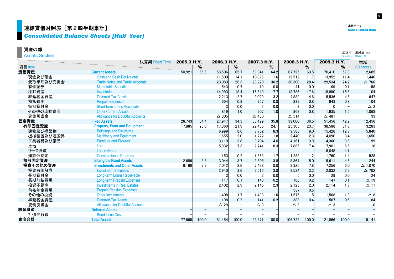## 連結貸借対照表 [第2四半期累計]

## *Consolidated Balance Sheets [Half Year]*

## 資産の部

Assets Section

|           | 決算期 Fiscal Term                        | 2005.3 H.Y. |               | 2006.3 H.Y.     |       | 2007.3 H.Y.     |       | 2008.3 H.Y.     |       | 2009.3 H.Y.     |       | 増減              |
|-----------|----------------------------------------|-------------|---------------|-----------------|-------|-----------------|-------|-----------------|-------|-----------------|-------|-----------------|
| 項目 Item   |                                        |             | $\frac{9}{6}$ |                 | %     |                 | %     |                 | $\%$  |                 | %     | (Variance)      |
| 流動資産      | <b>Current Assets</b>                  | 50,921      | 65.6          | 53.506          | 65.7  | 59.941          | 64.2  | 67,725          | 63.5  | 70,410          | 57.8  | 2.685           |
| 現金及び預金    | <b>Cash and Cash Equivalents</b>       |             |               | 11.500          | 14.1  | 10.876          | 11.6  | 12.512          | 11.7  | 13,952          | 11.4  | 1,440           |
| 受取手形及び売掛金 | <b>Trade Notes and Trade Accounts</b>  |             |               | 23,083          | 28.3  | 28,220          | 30.2  | 30,300          | 28.4  | 29,534          | 24.2  | $\Delta$ 766    |
| 有価証券      | <b>Marketable Securities</b>           |             |               | 543             | 0.7   | 19              | 0.0   | 41              | 0.0   | 99              | 0.1   | 58              |
| 棚卸資産      | <b>Inventories</b>                     |             |               | 14.993          | 18.4  | 16.549          | 17.7  | 18.786          | 17.6  | 18,890          | 15.5  | 104             |
| 繰延税金資産    | <b>Deferred Tax Assets</b>             |             |               | 2.213           | 2.7   | 3.029           | 3.2   | 4.889           | 4.6   | 5,536           | 4.5   | 647             |
| 前払費用      | <b>Prepaid Expenses</b>                |             |               | 654             | 0.8   | 767             | 0.8   | 839             | 0.8   | 943             | 0.8   | 104             |
| 短期貸付金     | <b>Short-term Loans Receivable</b>     |             |               |                 | 0.0   |                 | 0.0   |                 | 0.0   |                 |       | $\triangle$ 2   |
| その他の流動資産  | <b>Other Current Assets</b>            |             |               | 819             | 1.0   | 907             | 1.0   | 867             | 0.8   | 1,935           | 1.6   | 1,068           |
| 貸倒引当金     | <b>Allowance for Doubtful Accounts</b> |             |               | $\triangle$ 305 |       | $\triangle$ 430 |       | $\triangle$ 514 |       | $\triangle$ 481 |       | 33              |
| 固定資産      | <b>Fixed Assets</b>                    | 26,743      | 34.4          | 27,947          | 34.3  | 33,429          | 35.8  | 39,000          | 36.5  | 51,456          | 42.2  | 12,456          |
| 有形固定資産    | <b>Property, Plant and Equipment</b>   | 17,885      | 23.0          | 17.860          | 21.9  | 22,485          | 24.1  | 25,305          | 23.7  | 38,588          | 31.7  | 13,283          |
| 建物及び構築物   | <b>Buildings and Structures</b>        |             |               | 6.999           | 8.6   | 7,752           | 8.3   | 9.586           | 9.0   | 15,426          | 12.7  | 5,840           |
| 機械装置及び運搬具 | <b>Machinery and Equipment</b>         |             |               | 1,655           | 2.0   | 1,722           | 1.8   | 2.440           | 2.3   | 4,090           | 3.4   | 1,650           |
| 工具器具及び備品  | <b>Furniture and Fixtures</b>          |             |               | 3,119           | 3.8   | 3,704           | 4.0   | 4.161           | 3.9   | 4,360           | 3.6   | 199             |
| 土地        | Land                                   |             |               | 5.932           | 7.3   | 7.741           | 8.3   | 7.885           | 7.4   | 7,901           | 6.5   | 16              |
| リース資産     | <b>Lease Assets</b>                    |             |               |                 |       |                 |       |                 |       | 5,048           | 4.1   |                 |
| 建設仮勘定     | <b>Construction in Progress</b>        |             |               | 153             | 0.2   | 1,563           | 1.7   | 1,232           | 1.2   | 1,760           | 1.4   | 528             |
| 無形固定資産    | <b>Intangible Fixed Assets</b>         | 2,689       | 3.5           | 3.044           | 3.7   | 3,505           | 3.8   | 5,367           | 5.0   | 5,611           | 4.6   | 244             |
| 投資その他の資産  | <b>Investments and Other Assets</b>    | 6.169       | 7.9           | 7.042           | 8.6   | 7.438           | 8.0   | 8.326           | 7.8   | 7,256           | 6.0   | $\Delta$ 1,070  |
| 投資有価証券    | <b>Investment Securities</b>           |             |               | 2,940           | 3.6   | 3,516           | 3.8   | 3,534           | 3.3   | 2,832           | 2.3   | $\triangle$ 702 |
| 長期貸付金     | <b>Long-term Loans Receivable</b>      |             |               |                 | 0.0   |                 | 0.0   |                 | 0.0   | 29              | 0.0   | 24              |
| 長期前払費用    | <b>Long-term Prepaid Expenses</b>      |             |               | 117             | 0.1   | 143             | 0.2   | 166             | 0.2   | 147             | 0.1   | $\Delta$ 19     |
| 投資不動産     | <b>Investments in Real Estates</b>     |             |               | 2,402           | 2.9   | 2.145           | 2.3   | 2,125           | 2.0   | 2.114           | 1.7   | $\Delta$ 11     |
| 前払年金費用    | <b>Prepaid Pension Expenses</b>        |             |               |                 |       |                 |       | 537             | 0.5   |                 |       |                 |
| その他の投資    | <b>Other Investments</b>               |             |               | 1,408           | 1.7   | 1,493           | 1.6   | 1,576           | 1.5   | 1,568           | 1.3   | $\triangle$ 8   |
| 繰延税金資産    | <b>Deferred Tax Assets</b>             |             |               | 198             | 0.2   | 141             | 0.2   | 383             | 0.4   | 567             | 0.5   | 184             |
| 貸倒引当金     | <b>Allowance for Doubtful Accounts</b> |             |               | $\triangle$ 29  |       | $\triangle$ 3   |       | $\triangle$ 3   |       | $\triangle$ 3   |       | 0               |
| 繰延資産      | <b>Deferred Assets</b>                 |             |               |                 |       |                 |       |                 |       |                 |       |                 |
| 社債発行費     | <b>Bond Issue Cost</b>                 |             |               |                 |       |                 |       |                 |       |                 |       |                 |
| 資産合計      | <b>Total Assets</b>                    | 77.665      | 100.0         | 81.454          | 100.0 | 93.371          | 100.0 | 106.725         | 100.0 | 121.866         | 100.0 | 15.141          |

2

(百万円) (構成比:%) (\ million) (Ratio:%)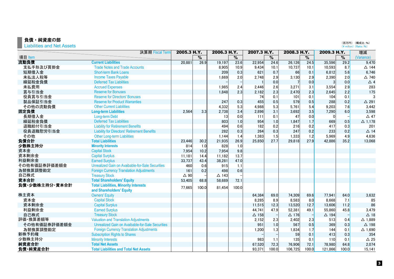## 負債・純資産の部

Liabilities and Net Assets

| (百万円) | (構成比:%)                                 |
|-------|-----------------------------------------|
|       | $(\frac{4}{5})$ million $(\frac{4}{5})$ |

|                | 決算期 Fiscal Term                                                          | 2005.3 H.Y.    |                          | 2006.3 H.Y.     |               | 2007.3 H.Y.  |                          | 2008.3 H.Y.  |               | 2009.3 H.Y.     |        | 増減                |
|----------------|--------------------------------------------------------------------------|----------------|--------------------------|-----------------|---------------|--------------|--------------------------|--------------|---------------|-----------------|--------|-------------------|
| 項目 Item        |                                                                          |                | $\overline{\frac{9}{6}}$ |                 | $\frac{9}{6}$ |              | $\overline{\frac{9}{6}}$ |              | $\frac{9}{6}$ |                 | %      | (Variance)        |
| 流動負債           | <b>Current Liabilities</b>                                               | 20,881         | 26.9                     | 19,197          | 23.6          | 22,954       | 24.6                     | 26,126       | 24.5          | 35,596          | 29.2   | 9,470             |
| 支払手形及び買掛金      | <b>Trade Notes and Trade Accounts</b>                                    |                |                          | 8,905           | 10.9          | 9,434        | 10.1                     | 10,737       | 10.1          | 10,593          | 8.7    | $\triangle$ 144   |
| 短期借入金          | <b>Short-term Bank Loans</b>                                             |                |                          | 209             | 0.3           | 621          | 0.7                      | 66           | 0.1           | 6,812           | 5.6    | 6,746             |
| 未払法人税等         | <b>Income Taxes Payable</b>                                              |                |                          | 1,669           | 2.0           | 2,748        | 2.9                      | 3,130        | 2.9           | 2,390           | 2.0    | $\triangle$ 740   |
| 繰延税金負債         | <b>Deferred Tax Liabilities</b>                                          |                |                          |                 |               |              | 0.0                      |              | 0.0           |                 | 0.0    | $\triangle$ 4     |
| 未払費用           | <b>Accrued Expenses</b>                                                  |                |                          | 1,985           | 2.4           | 2,446        | 2.6                      | 3,271        | 3.1           | 3,554           | 2.9    | 283               |
| 賞与引当金          | <b>Reserve for Bonuses</b>                                               |                |                          | 1,848           | 2.3           | 2,182        | 2.3                      | 2,470        | 2.3           | 2,645           | 2.2    | 175               |
| 役員賞与引当金        | <b>Reserve for Directors' Bonuses</b>                                    |                |                          |                 |               | 74           | 0.1                      | 101          | 0.1           | 104             | 0.1    |                   |
| 製品保証引当金        | <b>Reserve for Product Warranties</b>                                    |                |                          | 247             | 0.3           | 455          | 0.5                      | 579          | 0.5           | 288             | 0.2    | $\triangle$ 291   |
| その他の流動負債       | <b>Other Current Liabilities</b>                                         |                |                          | 4,332           | 5.3           | 4,988        | 5.3                      | 5,761        | 5.4           | 9,203           | 7.6    | 3,442             |
| 固定負債           | <b>Long-term Liabilities</b>                                             | 2,564          | 3.3                      | 2,738           | 3.4           | 2,896        | 3.1                      | 3,692        | 3.5           | 7,290           | 6.0    | 3,598             |
| 長期借入金          | Long-term Debt                                                           |                |                          | 13              | 0.0           | 111          | 0.1                      | 47           | 0.0           | $\mathbf 0$     |        | $\triangle$ 47    |
| 繰延税金負債         | <b>Deferred Tax Liabilities</b>                                          |                |                          | 803             | 1.0           | 954          | 1.0                      | 1,847        | 1.7           | 669             | 0.5    | $\triangle$ 1.178 |
| 退職給付引当金        | <b>Liability for Retirement Benefits</b>                                 |                |                          | 494             | 0.6           | 182          | 0.2                      | 216          | 0.2           | 417             | 0.3    | 201               |
| 役員退職慰労引当金      | <b>Liability for Directors' Retirement Benefits</b>                      |                |                          | 282             | 0.3           | 264          | 0.3                      | 247          | 0.2           | 233             | 0.2    | $\triangle$ 14    |
| その他            | Other Long-term Liabilities                                              |                |                          | 1,144           | 1.4           | 1,383        | 1.5                      | 1,333        | 1.2           | 5,969           | 4.9    | 4.636             |
| 負債合計           | <b>Total Liabilities</b>                                                 | 23,446         | 30.2                     | 21,935          | 26.9          | 25,850       | 27.7                     | 29,818       | 27.9          | 42,886          | 35.2   | 13,068            |
| 少数株主持分         | <b>Minority Interests</b>                                                | 814            | 1.0                      | 828             | 1.0           |              |                          |              |               |                 |        |                   |
| 資本金            | <b>Capital Stock</b>                                                     | 7,954          | 10.2                     | 7,954           | 9.8           |              |                          |              |               |                 |        |                   |
| 資本剰余金          | <b>Capital Surplus</b>                                                   | 11,181         | 14.4                     | 11,182          | 13.7          |              |                          |              |               |                 |        |                   |
| 利益剰余金          | <b>Earned Surplus</b>                                                    | 33,737         | 43.4                     | 38,281          | 47.0          |              |                          |              |               |                 |        |                   |
| その他有価証券評価差額金   | Unrealized Gain on Avaibable-for-Sale Securities                         | 460            | 0.6                      | 915             | 1.1           |              |                          |              |               |                 |        |                   |
| 為替換算調整勘定       | <b>Foreign Currency Translation Adjustments</b>                          | 161            | 0.2                      | 498             | 0.6           |              |                          |              |               |                 |        |                   |
| 自己株式           | <b>Treasury Stock</b>                                                    | $\triangle$ 90 |                          | $\triangle$ 143 |               |              |                          |              |               |                 |        |                   |
| 資本合計           | <b>Total Shareholders' Equity</b>                                        | 53,405         | 68.8                     | 58,689          | 72.1          |              |                          |              |               |                 |        |                   |
| 負債·少数株主持分·資本合計 | <b>Total Liabilities, Minority Interests</b><br>and Shareholders' Equity | 77,665         | 100.0                    | 81,454          | 100.0         |              |                          |              |               |                 |        |                   |
| 株主資本           | <b>Owners' Equity</b>                                                    |                |                          |                 |               | 64,384       | 69.0                     | 74,309       | 69.6          | 77,941          | 64.0   | 3,632             |
| 資本金            | <b>Capital Stock</b>                                                     |                |                          |                 |               | 8,285        | 8.9                      | 8,583        | 8.0           | 8,668           | 7.1    | 85                |
| 資本剰余金          | <b>Capital Surplus</b>                                                   |                |                          |                 |               | 11,515       | 12.3                     | 13,520       | 12.7          | 13,606          | $11.2$ | 86                |
| 利益剰余金          | <b>Earned Surplus</b>                                                    |                |                          |                 |               | 44,741       | 47.9                     | 52,381       | 49.1          | 55,860          | 45.8   | 3,479             |
| 自己株式           | <b>Treasury Stock</b>                                                    |                |                          |                 |               | $\Delta$ 158 |                          | $\Delta$ 176 |               | $\triangle$ 194 |        | $\Delta$ 18       |
| 評価·換算差額等       | <b>Valuation and Translation Adjustments</b>                             |                |                          |                 |               | 2,152        | 2.3                      | 2,402        | 2.3           | 513             | 0.4    | $\triangle$ 1.889 |
| その他有価証券評価差額金   | Unrealized Gain on Avaibable-for-Sale Securities                         |                |                          |                 |               | 951          | 1.0                      | 567          | 0.5           | 369             | 0.3    | $\triangle$ 198   |
| 為替換算調整勘定       | <b>Foreign Currency Translation Adjustments</b>                          |                |                          |                 |               | 1,200        | 1.3                      | 1,834        | 1.7           | 144             | 0.1    | $\triangle$ 1,690 |
| 新株予約権          | <b>Subscription Rights to Shares</b>                                     |                |                          |                 |               |              |                          | 59           | 0.1           | 413             | 0.3    | 354               |
| 少数株主持分         | <b>Minority Interests</b>                                                |                |                          |                 |               | 983          | 1.1                      | 135          | 0.1           | 110             | 0.1    | $\triangle$ 25    |
| 純資産合計          | <b>Total Net Assets</b>                                                  |                |                          |                 |               | 67,520       | 72.3                     | 76,906       | 72.1          | 78,980          | 64.8   | 2,074             |
| 負債·純資産合計       | <b>Total Liabilities and Total Net Assets</b>                            |                |                          |                 |               | 93,371       | 100.0                    | 106,725      | 100.0         | 121,866         | 100.0  | 15,141            |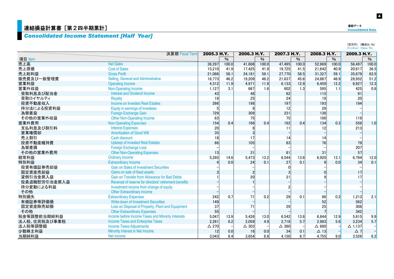## **直結損益計算書[第2四半期累計]**

## *Consolidated Income Statement [Half Year]*

**Consolidated Data** 

連結データ

(百万円) (構成比:%)<br>(¥ million) (Ratio:%)

|              | 決算期 Fiscal Term                                        | 2005.3 H.Y.     |       | 2006.3 H.Y.     |       | 2007.3 H.Y.     |       | 2008.3 H.Y.  |       | 2009.3 H.Y.    |       |
|--------------|--------------------------------------------------------|-----------------|-------|-----------------|-------|-----------------|-------|--------------|-------|----------------|-------|
| 項目 Item      |                                                        |                 | %     |                 | $\%$  |                 | $\%$  |              | $\%$  |                | %     |
| 売上高          | <b>Net Sales</b>                                       | 36.297          | 100.0 | 41,606          | 100.0 | 47,495          | 100.0 | 52.969       | 100.0 | 56,497         | 100.0 |
| 売上原価         | <b>Cost of Sales</b>                                   | 15,210          | 41.9  | 17,425          | 41.9  | 19,725          | 41.5  | 21,642       | 40.9  | 20,617         | 36.5  |
| 売上総利益        | <b>Gross Profit</b>                                    | 21,086          | 58.1  | 24,181          | 58.1  | 27,770          | 58.5  | 31,327       | 59.1  | 35,879         | 63.5  |
| 販売費及び一般管理費   | Selling, General and Administrative                    | 16.773          | 46.2  | 19,209          | 46.2  | 21,637          | 45.6  | 24.867       | 46.9  | 28,952         | 51.2  |
| 営業利益         | <b>Operating Income</b>                                | 4.312           | 11.9  | 4,971           | 11.9  | 6,133           | 12.9  | 6,459        | 12.2  | 6,927          | 12.3  |
| 営業外収益        | <b>Non-Operating Income</b>                            | 1,127           | 3.1   | 667             | 1.6   | 602             | 1.3   | 595          | 1.1   | 425            | 0.8   |
| 受取利息及び配当金    | <b>Interest and Dividend Income</b>                    | 43              |       | 48              |       | 62              |       | 115          |       | 91             |       |
| 受取ロイヤルティ     | <b>Royalty</b>                                         | 18              |       | 25              |       | 24              |       | 18           |       | 20             |       |
| 投資不動産収入      | <b>Income on Invested Real Estates</b>                 | 266             |       | 198             |       | 197             |       | 193          |       | 194            |       |
| 持分法による投資利益   | Equity in earnings of investees                        |                 |       |                 |       | 12              |       | 29           |       |                |       |
| 為替差益         | Foreign Exchange Gain                                  | 729             |       | 309             |       | 231             |       | 138          |       |                |       |
| その他の営業外収益    | <b>Other Non-Operating Income</b>                      | 63              |       | 75              |       | 75              |       | 100          |       | 119            |       |
| 営業外費用        | <b>Non-Operating Expenses</b>                          | 154             | 0.4   | 166             | 0.4   | 192             | 0.4   | 134          | 0.3   | 558            | 1.0   |
| 支払利息及び割引料    | <b>Interest Expenses</b>                               | 20              |       |                 |       | 11              |       | 12           |       | 213            |       |
| 営業権償却        | <b>Amortization of Good Will</b>                       | 35              |       | $\overline{3}$  |       |                 |       |              |       |                |       |
| 売上割引         | Cash discount                                          | 18              |       | 17              |       | 14              |       | 14           |       |                |       |
| 投資不動産維持費     | <b>Upkeep of invested Real Estates</b>                 | 66              |       | 105             |       | 83              |       | 76           |       | 79             |       |
| 為替差損         | <b>Foreign Exchange Loss</b>                           |                 |       |                 |       |                 |       |              |       | 207            |       |
| その他の営業外費用    | <b>Other Non-Operating Expenses</b>                    | 13              |       | 31              |       | 81              |       | 31           |       | 57             |       |
| 経常利益         | <b>Ordinary Income</b>                                 | 5,285           | 14.6  | 5,473           | 13.2  | 6,544           | 13.8  | 6,920        | 13.1  | 6,794          | 12.0  |
| 特別利益         | <b>Extraordinary Income</b>                            |                 | 0.0   | 24              | 0.1   | 27              | 0.1   |              | 0.0   | 34             | 0.1   |
| 投資有価証券売却益    | <b>Gain on Sales of Investment Securities</b>          |                 |       |                 |       |                 |       |              |       |                |       |
| 固定資産売却益      | Gains on sale of fixed assets                          |                 |       |                 |       |                 |       |              |       | 17             |       |
| 貸倒引当金戻入益     | Gain on Transfer from Allowance for Bad Debts          |                 |       | <b>20</b>       |       | 21              |       |              |       | 17             |       |
| 役員退職慰労引当金戻入益 | Reversal of reserve for directors' retirement benefits |                 |       |                 |       |                 |       |              |       |                |       |
| 持分変動による利益    | Investment income from change of equity                |                 |       |                 |       |                 |       |              |       |                |       |
| その他          | <b>Other Extraordinary Income</b>                      |                 |       |                 |       |                 |       |              |       |                |       |
| 特別損失         | <b>Extraordinary Expenses</b>                          | 242             | 0.7   | 71              | 0.2   | 29              | 0.1   | 86           | 0.2   | 1,213          | 2.1   |
| 有価証券等評価損     | <b>Write-down of Investment Securities</b>             | 149             |       |                 |       |                 |       | 52           |       | 562            |       |
| 固定資産除売却損     | Loss on Disposal of Property, Plant and Equipment      | 37              |       | 71              |       | 29              |       | 25           |       | 308            |       |
| その他          | <b>Other Extraordinary Expenses</b>                    | 55              |       |                 |       |                 |       |              |       | 342            |       |
| 税金等調整前当期純利益  | Income before Income Taxes and Minority Interests      | 5,047           | 13.9  | 5,426           | 13.0  | 6,542           | 13.8  | 6,844        | 12.9  | 5,615          | 9.9   |
| 法人税、住民税及び事業税 | <b>Income Taxes and Enterprise Taxes</b>               | 2,261           | 6.2   | 2,059           | 4.9   | 2.718           | 5.7   | 2,983        | 5.6   | 3,234          | 5.7   |
| 法人税等調整額      | <b>Income Taxes Adjustments</b>                        | $\triangle 270$ |       | $\triangle$ 303 |       | $\triangle$ 360 |       | $\Delta$ 880 |       | $\Delta$ 1,137 |       |
| 少数株主利益       | Minority Interest in Net Income                        | 12              | 0.0   | 16              | 0.0   | 34              | 0.1   | $\Delta$ 13  |       | $\triangle$ 7  |       |
| 当期純利益        | Net Income                                             | 3,043           | 8.4   | 3.654           | 8.8   | 4.150           | 8.7   | 4,755        | 9.0   | 3.526          | 6.2   |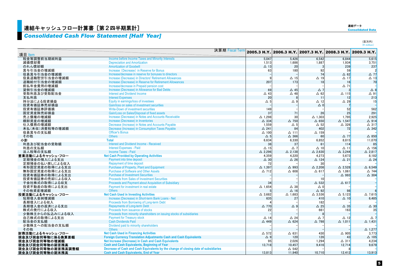## <mark>|連結キャッシュフロー計算書[第2四半期累計]</mark>

## *Consolidated Cash Flow Statement [Half Year]*

連結データ

(百万円)<br>(¥ million)

| 項目 Item                              | 決算期 Fiscal Term                                                                     |                   | 2005.3 Н.Ү. 2006.3 Н.Ү. 2007.3 Н.Ү. 2008.3 Н.Ү. 2009.3 Н.Ү. |                   |                   |                   |
|--------------------------------------|-------------------------------------------------------------------------------------|-------------------|-------------------------------------------------------------|-------------------|-------------------|-------------------|
| 税金等調整前当期純利益                          | <b>Income before Income Taxes and Minority Interests</b>                            | 5.047             | 5,426                                                       | 6,542             | 6,844             | 5.615             |
| 減価償却費                                | <b>Depreciation and Amortization</b>                                                | 1,513             | 1,686                                                       | 1,887             | 1,934             | 3,751             |
| のれん償却額                               | <b>Amortization of Goodwill</b>                                                     | $\Delta$ 13       | 20                                                          |                   | 239               | 237               |
| 賞与引当金の増減額                            | Increase (Decrease) in Reserve for Bonus                                            | 63                | 180                                                         | 92                | 59                |                   |
| 役員賞与引当金の増減額                          | Increase/decrease in reserve for bonuses to directors                               |                   |                                                             | 74                | $\triangle$ 62    | $\triangle$ 77    |
| 役員退職慰労引当金の増減額                        | Increase (Decrease) in Directors' Retirement Allowances                             | q                 | $\Delta$ 15                                                 | $\Delta$ 19       | $\Delta$ 17       | $\triangle$ 13    |
| 退職給付引当金の増減額                          | Increase (Decrease) in Reserve for Retirement Allowances                            | 207               | 173                                                         | 18                | 16                | 70                |
| 前払年金費用の増減額                           | Increase/decrease in Prepaid pension cost                                           |                   |                                                             |                   | $\Delta$ 71       |                   |
| 貸倒引当金の増減額                            | Increase (Decrease) in Allowance for Bad Debts                                      | 69                | $\triangle$ 45                                              | $\triangle$ 7     |                   | $\triangle$ 8     |
| 受取利息及び受取配当金                          | <b>Interest and Dividend Income</b>                                                 | $\triangle$ 43    | $\triangle$ 48                                              | $\Delta$ 62       | $\Delta$ 115      | $\Delta$ 91       |
| 支払利息                                 | <b>Interest Expenses</b>                                                            | 20                |                                                             | 11                | 12                | 213               |
| 持分法による投資損益                           | Equity in earnings/loss of investees                                                | $\Delta$ 5        | $\triangle$ 9                                               | $\triangle$ 12    | $\Delta$ 29       | 15                |
| 投資有価証券売却損益                           | Gain/loss on sales of investment securities                                         |                   |                                                             | $\triangle$ 0     |                   |                   |
| 投資有価証券評価損                            | Write-Down of investment securities                                                 | 149               |                                                             |                   | 52                | 562               |
| 固定資産除売却損益                            | Gain/Loss on Sales/Disposal of fixed assets                                         | 37                | 71                                                          | 26                | 25                | 291               |
| 売上債権の増減額                             | Increase (Decrease) in Notes and Accounts Receivable                                | $\Delta$ 1,298    | 30                                                          | $\Delta$ 1,303    | 1.795             | 2.925             |
| 棚卸資産の増減額                             | Increase (Decrease) in Inventories                                                  | $\triangle$ 334   | $\Delta$ 750                                                | $\Delta$ 650      | $\triangle$ 1,547 | $\triangle$ 914   |
| 仕入債務の増減額                             | Decrease (Increase) in Notes and Accounts Payable                                   | 1,559             | $\triangle$ 5                                               | $\Delta$ 52       | $\triangle$ 326   | $\triangle$ 317   |
| 未払(未収)消費税等の増減額                       | Decrease (Increase) in Consumption Taxes Payable                                    | $\triangle$ 241   | 84                                                          | 402               | 72                | $\triangle$ 342   |
| 役員賞与の支払額                             | <b>Officer's Bonus</b>                                                              | $\triangle$ 100   | $\Delta$ 111                                                | $\Delta$ 159      |                   |                   |
| その他                                  | <b>Others</b>                                                                       | $\triangle$ 5     | $\triangle$ 366                                             | 60                | $\triangle$ 77    | $\triangle$ 850   |
| 小計                                   | <b>Total</b>                                                                        | 6,634             | 6,330                                                       | 6,852             | 8,815             | 11,070            |
| 利息及び配当金の受取額                          | Interest and Dividend Income - Received                                             | 38                | 37                                                          | 61                | 114               | 85                |
| 利息の支払額                               | <b>Interest Expenses - Paid</b>                                                     | $\Delta$ 15       | $\triangle$ 7                                               | $\triangle$ 10    | $\Delta$ 11       | $\triangle$ 156   |
| 法人税等の支払額                             | <b>Income Taxes - Paid</b>                                                          | $\triangle$ 2,296 | $\triangle$ 2.138                                           | $\triangle$ 2,630 | $\triangle$ 3.244 | $\triangle$ 2,817 |
| 営業活動によるキャッシュ・フロー                     | <b>Net Cash Provided by Operating Activities</b>                                    | 4.359             | 4,220                                                       | 4,273             | 5,673             | 8.182             |
| 定期預金の預入による支出                         | Payment into time deposit                                                           | $\triangle$ 30    | $\Delta$ 26                                                 | $\triangle$ 124   | $\Delta$ 21       | $\triangle$ 24    |
| 定期預金の払い戻しによる収入                       | <b>Repayment of time deposit</b>                                                    | 72                |                                                             | 30                |                   |                   |
| 有形固定資産の取得による支出                       | Purchase of Property, Plant and Equipment                                           | $\triangle$ 1.397 | △ 993                                                       | $\triangle$ 2.208 | $\triangle$ 2.528 | $\triangle$ 6.549 |
| 無形固定資産の取得による支出                       | <b>Purchase of Software and Other Assets</b>                                        | $\Delta$ 712      | $\triangle$ 608                                             | $\Delta$ 617      | $\triangle$ 1,061 | △ 744             |
| 投資有価証券の取得による支出                       | <b>Purchase of Investment Securities</b>                                            |                   |                                                             |                   | $\triangle$ 993   | $\triangle$ 304   |
| 投資有価証券の売却による収入                       | <b>Proceeds from Sales of Investment Securities</b>                                 |                   |                                                             | 10                |                   |                   |
| 子会社株式の取得による収支                        | <b>Proceeds and Payment about Acquisition of Subsidiary</b>                         | 34                |                                                             | $\Delta$ 532      | $\Delta$ 617      |                   |
| 投資不動産の取得による支出                        | Payment for investment in real estate                                               | $\Delta$ 1.654    | $\triangle$ 38                                              | $\triangle$ 0     |                   |                   |
| その他資産増減額                             | <b>Others</b>                                                                       |                   | $\Delta$ 16                                                 | $\triangle$ 92    | 98                | 6                 |
| 投資活動によるキャッシュ・フロー                     | <b>Net Cash Used in Investing Activities</b>                                        | $\triangle$ 3.682 | $\Delta$ 1,683                                              | $\Delta$ 3,536    | $\triangle$ 5.123 | $\Delta$ 7,615    |
| 短期借入金純増減額                            | Increase (Decrease) in Short-term Bank Loans - Net                                  | 635               | 27                                                          | 410               | $\Delta$ 10       | 6,485             |
| 長期借入による収入                            | Proceeds from Borrowing of Long-term Debt                                           |                   |                                                             | 182               |                   |                   |
| 長期借入金の返済による支出                        | <b>Repayments of Long-term Debt</b>                                                 | $\triangle$ 770   | $\triangle$ 9                                               | $\triangle$ 25    | $\Delta$ 35       | $\triangle$ 30    |
| 株式の発行による収入                           | Proceeds from issuance of stocks                                                    | 22                |                                                             | 661               | 163               | 35                |
| 少数株主からの払込みによる収入                      | Proceeds from minority shareholders on issuing stocks of subsidiaries               |                   |                                                             |                   |                   |                   |
| 自己株式の取得による支出                         | <b>Payment for Treasury stock</b>                                                   | $\triangle$ 14    | $\triangle$ 24                                              | $\triangle$ 7     | $\Delta$ 12       | $\triangle$ 7     |
| 配当金の支払額                              | <b>Cash Dividends Paid</b>                                                          | $\triangle$ 449   | $\triangle$ 624                                             | △ 798             | $\Delta$ 1,011    | $\Delta$ 1.431    |
| 少数株主への配当金の支払額                        | Dividend paid to minority shareholders                                              |                   |                                                             |                   |                   |                   |
| その他                                  | <b>Others</b>                                                                       |                   |                                                             |                   |                   | $\triangle$ 1.277 |
|                                      | <b>Net Cash Used in Financing Activities</b>                                        | $\Delta$ 572      | $\Delta$ 631                                                | 430               | $\triangle$ 905   | 3,773             |
| 財務活動によるキャッシュ・フロー<br>現金及び現金同等物に係る換算差額 | <b>Foreign Currency Translation Adjustments Cash and Cash Equivalents</b>           | $\triangle$ 9     | 120                                                         | 126               | 43                | $\Delta$ 105      |
|                                      | Net Increase (Decrease) in Cash and Cash Equivalents                                |                   |                                                             |                   |                   |                   |
| 現金及び現金同等物の増減額                        | <b>Cash and Cash Equivalents, Beginning of Year</b>                                 | 95                | 2,026                                                       | 1,294             | $\Delta$ 311      | 4,234             |
| 現金及び現金同等物の期首残高                       | Decrease of Cash and Cash Equivalents by the change of closing date of subsidiaries | 13,718            | 10,457                                                      | 9.416             | 12,714            | 9,679             |
| 現金及び現金同等物の期首残高調整額                    |                                                                                     |                   | $\triangle$ 542                                             |                   |                   |                   |
| 現金及び現金同等物の期末残高                       | <b>Cash and Cash Equivalents, End of Year</b>                                       | 13,813            | 11.940                                                      | 10,710            | 12,412            | 13,913            |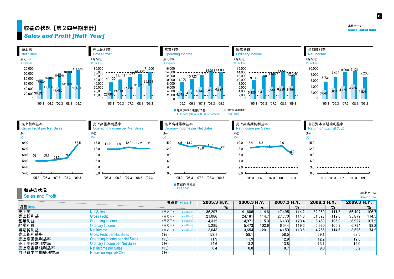## <mark>|</mark> 収益の状況[第2四半期累計]

6

## *Sales and Profit [Half Year]*

| 売上高<br><b>Net Sales</b>                                                                                                                                                                         | 売上総利益<br><b>Gross Profit</b>                                                                                                                                    | 営業利益<br><b>Operating Income</b>                                                                                                                                                                                                   | 経常利益<br><b>Ordinary Income</b>                                                                                                                                                                                            | 当期純利益<br>Net Income                                                                                                                                                            |
|-------------------------------------------------------------------------------------------------------------------------------------------------------------------------------------------------|-----------------------------------------------------------------------------------------------------------------------------------------------------------------|-----------------------------------------------------------------------------------------------------------------------------------------------------------------------------------------------------------------------------------|---------------------------------------------------------------------------------------------------------------------------------------------------------------------------------------------------------------------------|--------------------------------------------------------------------------------------------------------------------------------------------------------------------------------|
| (百万円)<br>$(*)$ million)                                                                                                                                                                         | (百万円)<br>$(*)$ million)                                                                                                                                         | (百万円)<br>$(*)$ million)                                                                                                                                                                                                           | (百万円)<br>$(*)$ million                                                                                                                                                                                                    | (百万円)<br>$(*)$ million)                                                                                                                                                        |
| 120,000<br>114:000<br>110,7<br>100,000<br>80,000 - - - - - - 87,887<br>76,934<br>60,000<br>52.969<br>56,497<br>40,000<br>47.495<br>20,000 36,29<br>0<br>'07.3<br>'08.3 '09.3<br>$'05.3$ $'06.3$ | 80,000<br>- - -74.700 <sup>.</sup><br>40,000<br>$-31.32$<br>30,000<br>$-27.770$<br>24,18<br>20,000<br>10,000 21,086<br>'05.3<br>06.3<br>'07.3<br>'08.3<br>'09.3 | 16.000<br>$15,033$ $14,000$<br>14.000<br>12.714<br>12,000<br>$- - - 10.723$<br>$-9,103$<br>10,000<br>8,000<br>6,000<br>6,927<br>4,000<br>4.97<br>2,000 4,31 <mark>2</mark><br>$\Omega$<br>'09.3<br>06.3<br>'07.3<br>08.3<br>'05.3 | 16,000<br>14.000<br>12,800<br>12,000<br>$\overline{9,871}$ $\overline{11,981}$<br>10,000<br>8,000<br>6,000<br>6,92 <mark>0</mark> 6.79<br>6,544<br>4,000 5,285 5,473<br>2,000<br>'09.3<br>'05.3<br>06.3<br>'07.3<br>'08.3 | 10,000<br>9,008 9,131<br>7,422<br>$-7.200$<br>8,000<br>5,731<br>$6,000 - 2$<br>4,000<br>$-4,75$<br>2,000 $3,043$ $3,654$<br>3.526<br>'06.3<br>'07.3<br>'08.3<br>'09.3<br>'05.3 |
|                                                                                                                                                                                                 |                                                                                                                                                                 | ■ 通期(2009.3月期は予想)<br>Full Year (Data in '09.3 is Forecast)                                                                                                                                                                        | 第2四半期累計<br><b>Half Year</b>                                                                                                                                                                                               |                                                                                                                                                                                |
|                                                                                                                                                                                                 |                                                                                                                                                                 |                                                                                                                                                                                                                                   |                                                                                                                                                                                                                           |                                                                                                                                                                                |
| 売上総利益率                                                                                                                                                                                          | 売上高営業利益率                                                                                                                                                        | 売上高経常利益率                                                                                                                                                                                                                          | 売上高当期純利益率                                                                                                                                                                                                                 | 自己資本当期純利益率                                                                                                                                                                     |
| <b>Gross Profit per Net Sales</b>                                                                                                                                                               | <b>Operating Income per Net Sales</b>                                                                                                                           | <b>Ordinary Income per Net Sales</b>                                                                                                                                                                                              | Net Income per Sales                                                                                                                                                                                                      | <b>Return on Equity(ROE)</b>                                                                                                                                                   |
| (96)<br>$(\%)$                                                                                                                                                                                  | (96)<br>$(\%)$                                                                                                                                                  | (9/6)<br>$(\%)$                                                                                                                                                                                                                   | (96)<br>$(\%)$                                                                                                                                                                                                            | (96)<br>$(\%)$                                                                                                                                                                 |
| 64.0<br>$-63.5 -$                                                                                                                                                                               | $15.0 - 11.9 - 11.9 - 12.9 - 12.2 - 12.3$                                                                                                                       | 15.0<br>$-146 - 132 - - -$                                                                                                                                                                                                        | 10.0<br>$- - 88 - - -$<br>$- - -9.0 -$                                                                                                                                                                                    | 15.0<br>______________                                                                                                                                                         |
| 62.0                                                                                                                                                                                            | 12.0                                                                                                                                                            | $-13.1$<br>$13.8 - - -$<br>12.0                                                                                                                                                                                                   | 8.0                                                                                                                                                                                                                       | 12.0<br>__________________                                                                                                                                                     |
| 60.0<br>$-58.1 - -58.1 - -$                                                                                                                                                                     | 90                                                                                                                                                              | 9.0                                                                                                                                                                                                                               | 60                                                                                                                                                                                                                        | <u>La a a a a a a a a a</u><br>90                                                                                                                                              |
| $58.5 -$<br>58.0                                                                                                                                                                                | _____________<br>60                                                                                                                                             | 6.0<br>.                                                                                                                                                                                                                          |                                                                                                                                                                                                                           | _____________                                                                                                                                                                  |
| 56.0                                                                                                                                                                                            | 30                                                                                                                                                              | 30                                                                                                                                                                                                                                | 20                                                                                                                                                                                                                        | 30                                                                                                                                                                             |
| 540                                                                                                                                                                                             | n n                                                                                                                                                             | 0 <sub>0</sub>                                                                                                                                                                                                                    | n n                                                                                                                                                                                                                       | 0 <sub>0</sub>                                                                                                                                                                 |
| '06.3 '07.3 '08.3 '09.3<br>'05.3                                                                                                                                                                | '06.3 '07.3 '08.3 '09.3<br>'05.3                                                                                                                                | '05.3 '06.3 '07.3 '08.3 '09.3                                                                                                                                                                                                     | '06.3 '07.3<br>$'08.3$ $'09.3$<br>'05.3                                                                                                                                                                                   | '07.3<br>'06.3<br>'08.3<br>'05.3<br>'09.3                                                                                                                                      |

収益の状況

Sales and Profit

(前期比:%) (Growth:%)

|            |                                       |       | 決算期 Fiscal Term         | 2005.3 H.Y.       |   | 2006.3 H.Y. |        | 2007.3 H.Y. |        | 2008.3 H.Y. |       | 2009.3 H.Y. |       |
|------------|---------------------------------------|-------|-------------------------|-------------------|---|-------------|--------|-------------|--------|-------------|-------|-------------|-------|
| 項目 Item    |                                       |       |                         |                   | % |             | %      |             | $\%$   |             | %     |             | %     |
| 売上高        | <b>Net Sales</b>                      | (百万円) | $(*)$ million)          | 36.297            |   | 41.606      | 114.6  | 47.495      | 114.2  | 52.969      | 111.5 | 56,497      | 106.7 |
| 売上総利益      | <b>Gross Profit</b>                   | (百万円) | $(*)$ million)          | 21.086            |   | 24.181      | 114.71 | 27.770      | 114.81 | 31.327      | 112.8 | 35,879      | 114.5 |
| 営業利益       | <b>Operating Income</b>               | (百万円) | $(*)$ million)          | 4.312             |   | 4.971       | 115.31 | 6,133       | 123.41 | 6.459       | 105.3 | 6,927       | 107.2 |
| 経常利益       | Ordinary Income                       | (百万円) | $(*)$ million)          | 5.285             |   | 5.473       | 103.61 | 6,544       | 119.61 | 6.920       | 105.7 | 6,794       | 98.2  |
| 当期純利益      | Net Income                            | (百万円) | $(\frac{4}{3})$ million | 3.043             |   | 3,654       | 120.1  | 4.150       | 113.6  | 4.755       | 114.6 | 3,526       | 74.2  |
| 売上総利益率     | <b>Gross Profit per Net Sales</b>     | (96)  |                         | 58.1              |   | 58.1        |        | 58.5        |        | 59.1        |       | 63.5        |       |
| 売上高営業利益率   | <b>Operating Income per Net Sales</b> | (96)  |                         | 11.9              |   | 11.9        |        | 12.9        |        | 12.2        |       | 12.3        |       |
| 売上高経常利益率   | <b>Ordinary Income per Net Sales</b>  | (96)  |                         | 14.6 <sub>1</sub> |   | 13.2        |        | 13.8        |        | 13.1        |       | 12.0        |       |
| 売上高当期純利益率  | Net Income per Sales                  | (96)  |                         | 8.4               |   | 8.8         |        | 8.7         |        | 9.0         |       |             |       |
| 自己資本当期純利益率 | <b>Return on Equity(ROE)</b>          | (96)  |                         |                   |   |             |        |             |        |             |       |             |       |

Half Year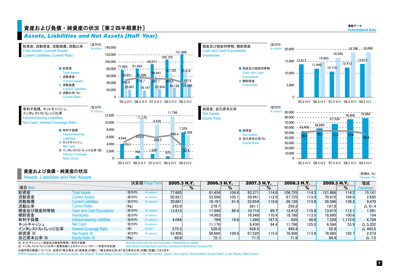## 資産および負債・純資産の状況[第2四半期累計] Consolidated Data かいしょう こうしょう こうしょう こうしょう こうしゅうしょう

連結データ





## 資産および負債・純資産の状況

Assets, Liabilities and Net Assets

|               |                                     |        | 決算期 Fiscal Term | 2005.3 H.Y. |   | 2006.3 H.Y. |       | 2007.3 H.Y. |        | 2008.3 H.Y. |                      | 2009.3 H.Y. |         | 増減                |
|---------------|-------------------------------------|--------|-----------------|-------------|---|-------------|-------|-------------|--------|-------------|----------------------|-------------|---------|-------------------|
| 項目 Item       |                                     |        |                 |             | % |             | %     |             | $\%$   |             | %                    |             | %       | Variance)         |
| 総資産           | <b>Total Assets</b>                 | (百万円)  | $(*)$ million)  | 77.665      |   | 81.454      | 104.9 | 93.371      | 114.6  | 106.725     | 114.3                | 121.866     | 114.2   | 15.141            |
| 流動資産          | <b>Current Assets</b>               | (百万円)  | $(*)$ million)  | 50.921      |   | 53.506      | 105.1 | 59,941      | 112.01 | 67.725      | 113.0                | 70.410      | 104.0   | 2.685             |
| 流動負債          | <b>Current Liabilities</b>          | (百万円)  | $(*)$ million)  | 20.881      |   | 19.197      | 91.9  | 22.954      | 119.6l | 26.126      | 113.8                | 35.596      | 136.2   | 9.470             |
| 流動比率          | <b>Current Ratio</b>                | $(\%)$ |                 | 243.9       |   | 278.7       |       | 261.1       |        | 259.2       |                      | 197.8       |         | $\Delta$ 61.4     |
| 現金及び現金同等物     | <b>Cash and Cash Equivalents</b>    | (百万円)  | $(*)$ million)  | 13.813      |   | 11.940      | 86.4  | 10.710      | 89.7   | 12.412      | 115.9                | 13.913      | 112.1   | 1.501             |
| 棚卸資産          | Inventories                         | (百万円)  | $(*)$ million)  |             |   | 14,993      |       | 16.549      | 110.41 | 18.786      | 113.5 <mark>1</mark> | 18,890      | 100.6   | 104               |
| 有利子負債         | <b>Interest-bearing Liabilities</b> | (百万円)  | $(*)$ million)  | 4.044       |   | 764         | 18.9  | 1,280       | 167.5  | 625         | 48.8                 | 7.329       | 1.172.6 | 6.704             |
| ネットキャッシュ      | Net Cash                            | (百万円)  | $(*)$ million)  |             |   | 11.176      |       | 9.430       | 84.4   | 1.786       | 125.0                | 6.584       | 55.9    | $\triangle$ 5.202 |
| インタレストカバレッジ比率 | <b>Interest Coverage Ratio</b>      | (倍)    | (time)          | 275.3       |   | 528.0       |       | 426.5       |        | 495.4       |                      | 52.4        |         | $\Delta$ 443.0    |
| 純資産 ※         | Net Assets $\mathbb{X}$             | (百万円)  | $(*)$ million)  | 53.405      |   | 58.689      | 109.9 | 67.520      | 115.OI | 76.906      | 113.9                | 78.980      | 102.7   | 2.074             |
| 自己資本比率 ※      | Equity Ratio X                      | (96)   |                 | 68.8        |   | 72.1        |       | 71.31       |        | 71.9        |                      | 64.4        |         | $\Delta$ 7.5      |

注:ネットキャッシュ=現金及び現金同等物ー有利子負債

Note:Net Cash=Cash and Cash Equivalents - Interest-bearing Liabilities

注:インタレストカバレッジ比率=営業活動によるキャッシュ・フロー/利息の支払額 Note:Interest Coverage Ratio=Cash Flow Operating Activities/Interest Expenses-Paid

※過年度の数値については、従来の「株主資本」を「純資産」の欄に、「株主資本比率」を「自己資本比率」の欄に記載しております。

※With regards to the figures for previous period, the original "Shareholders' Equity" is described in the "Net Assets" column, the original "Shareholders' Equity Ratio" in the "Equity Ratio"column.

(前期比:%)  $(Growth: %)$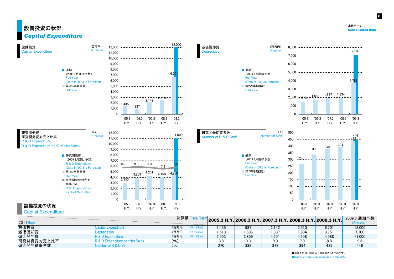設備投資

Capital Expenditure

8



| 研究開発費<br>研究開発費対売上比率                 |  |
|-------------------------------------|--|
| R & D Expenditure                   |  |
| R & D Expenditure as % of Net Sales |  |

設備投資の状況 Capital Expenditure

■ 通期

Half Year



(百万円) (¥ million)  $\Omega$ 

'05.3'06.3H.Y.

H.Y.

'07.3H.Y.

'08.3H.Y.

'09.3H.Y.

| 12,000 | 11,000                                                                           |
|--------|----------------------------------------------------------------------------------|
| 11,000 |                                                                                  |
| 10,000 |                                                                                  |
| 9,000  |                                                                                  |
| 8,000  |                                                                                  |
| 7,000  |                                                                                  |
| 6,000  | 9.3<br>9.0<br>8.8<br>8.8<br>7.9                                                  |
| 5,000  | 4,251<br>4,988<br>4.158<br>3,859                                                 |
|        |                                                                                  |
| 4.000  |                                                                                  |
| 3,000  | 2,953                                                                            |
| 2,000  |                                                                                  |
| 1,000  |                                                                                  |
| ŋ      |                                                                                  |
|        | '05.3<br>06.3<br>'07.3<br>'08.3<br>'09.3<br>H.Y.<br>H.Y.<br>H.Y.<br>H.Y.<br>H.Y. |





| 項目 Iter    |                                 | 決算期 Fisca               |       | ' 2005.3 Н.Ү. 2006.3 Н.Ү. 2007.3 Н.Ү. 2008.3 Н.Ү. 2009.3 Н.Ү. |       |       |       | 2009.3 通期予想<br>-orecast) |
|------------|---------------------------------|-------------------------|-------|---------------------------------------------------------------|-------|-------|-------|--------------------------|
| 設備投資       | Capital Expenditure             | (百万円)<br>$(*)$ million) | .435  | 987                                                           | 2.142 | 2.510 | 6.701 | 12.000                   |
| 減価償却費      | Depreciation                    | (百万円)<br>$(*)$ million) | .513  | .686                                                          | .887  | .934  | 3.751 | $^{\prime}$ .100         |
| 研究開発費      | R & D Expenditure               | (百万円)<br>$(*)$ million) | 2.953 | 3.859                                                         | 4.251 | 1.158 | 4.988 | 11.000                   |
| 研究開発費対売上比率 | R & D Expenditure per Net Sales | (96)                    | 8.8   | 9.3                                                           | 9.0   | י 9.  | 8.8   | 9.3                      |
| 研究開発従事者数   | Number of R & D Staff           | 人                       | 270   | 338                                                           | 378   | 394   | 439   | 446                      |

●通期予想は、2008 年 5 月に公表したものです。 ●Business forecast was announced on May 2008.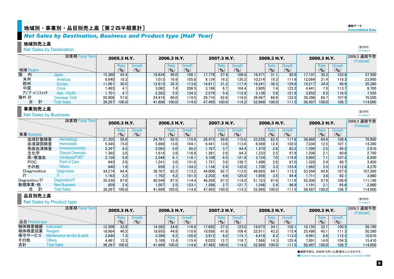## *Net Sales by Destination, Business and Product type [Half Year]*

## 地域別売上高

## Net Sales by Destination

|          |            | 決算期 Fiscal Term    |         | 2005.3 H.Y.   |        |        | 2006.3 H.Y. |           |        | 2007.3 H.Y.       |           |        | 2008.3 H.Y.                |           |        | 2009.3 H.Y. |                      | 2009.3 通期予想<br>(Forecast) |
|----------|------------|--------------------|---------|---------------|--------|--------|-------------|-----------|--------|-------------------|-----------|--------|----------------------------|-----------|--------|-------------|----------------------|---------------------------|
|          |            |                    |         | Ratio         | Growth |        | Ratio       | Growth    |        | Ratio             | Growth    |        | Ratio                      | Growth    |        |             | Growth               |                           |
| 地域 Regio |            |                    |         | $\frac{9}{6}$ | (9/6)  |        | (%          | $(9)_{0}$ |        | $(9)_{0}$         | $(9)_{0}$ |        | $\mathcal{O}_{\mathbf{O}}$ | $($ % $)$ |        | $(9)_{0}$   | $(9)_{0}$            |                           |
| 国<br>内   |            | Japan              | 15,389  | 42.4          |        | 16,634 | 40.0        | 108.11    | 17.779 | 37.4              | 106.9     | 16,471 | 31.1                       | 92.6      | 17.101 | 30.3        | 103.8                | 37.500                    |
| 米州       |            | Americas           | 6.640   | 18.3          |        | 7.013  | 16.9        | 105.6     | 9.134  | 19.2 <sub>1</sub> | 130.2     | 10,214 | 19.3                       | 111.8     | 12.084 | 21.4        | 118.3                | 23,900                    |
| 欧州       |            | Europe             | 11,081  | 30.5          |        | 12,613 | 30.3        | 113.8     | 14,811 | 31.2              | 117.4     | 19,241 | 36.3                       | 129.9     | 19.217 | 34.0        | 99.9                 | 35,380                    |
| 中国       |            | China              | ا483. ا | 4.1           |        | 3,062  |             | 206.5     | 3.196  | 6.7               | 104.4     | 3,905  | 7.4                        | 122.2     | 4.441  | 7.9         | 113.7 <mark>1</mark> | 9,700                     |
|          | アジア・パシフィック | Asia - Pacific     | 1.701   | 4.7           |        | 2.282  | 5.5         | 134.2     | 2.574  | 5.4               | 112.8     | 3,136  | 5.9                        | 121.8     | 3.652  | 6.5         | 116.5                | 7.520                     |
| 海外計      |            | Dverseas Total     | 20.906  | 57.6          |        | 24.974 | 60.0        | 119.5     | 29.716 | 62.6              | 119.0     | 36.497 | 68.9                       | 122.8     | 39.396 | 69.7        | 107.9                | 76.500                    |
| 合        | 計          | <b>Total Sales</b> | 36,297  | 100.0         |        | 41.606 | 100.0       | 114.6     | 47,495 | 100.0             | 114.2     | 52.969 | 100.0                      | 111.5     | 56,497 | 100.0       | 106.7                | 114,000                   |

### 事業別売上高

**Net Sales by Business** 

|                | 決算期 Fiscal Term           |        | 2005.3 H.Y.               |                     |        | 2006.3 H.Y.      |                                      |        | 2007.3 H.Y.  |                     |        | 2008.3 H.Y.        |                         |        | 2009.3 H.Y.       |                 | 2009.3 通期予想<br>(Forecast) |
|----------------|---------------------------|--------|---------------------------|---------------------|--------|------------------|--------------------------------------|--------|--------------|---------------------|--------|--------------------|-------------------------|--------|-------------------|-----------------|---------------------------|
| 事業 Business    |                           |        | <b>Ratio</b><br>$($ % $)$ | Growth<br>$(9)_{0}$ |        | Ratio<br>(%)     | Growth<br>$\left(\frac{9}{6}\right)$ |        | Ratio<br>(%) | Growth<br>$($ % $)$ |        | Ratio<br>$(9)_{o}$ | Growth<br>$\frac{9}{6}$ |        | Rati<br>$(9)_{0}$ | Growth<br>(9/6) |                           |
| 血球計数検査         | Hematology                | 21,355 | 58.8                      |                     | 24.761 | 59.5             | 115.9                                | 28,473 | 59.9         | 115.0               | 33,528 | 63.3               | 117.8                   | 36,669 | 64.9              | 109.4           | 70,990                    |
| 血液凝固検査         | <b>Hemostasis</b>         | 5.445  | 15.0                      |                     | 5,668  | 13.6             | 104.1                                | 6.441  | 13.6         | 113.6               | 6,569  | 12.4               | 102.0                   | 7.034  | 12.5              | 107.1           | 14,390                    |
| 免疫血清検査         | Immunochemistry           | 2,347  | 6.5                       |                     | 2.093  | 5.0              | 89.2                                 | 1,767  | 3.7          | 84.4                | 1,470  | 2.8                | 83.2                    | 1.399  | 2.5               | 95.2            | 2,910                     |
| 生化学            | <b>Clinical Chemistry</b> | 382. ا | 3.8                       |                     | 1,614  | 3.9              | 116.8                                | 1,361  | 2.9          | 84.3                | 1,333  | 2.5                | 97.9                    | 1,208  | 2.1               | 90.6            | 2,750                     |
| 尿/便潜血          | Urinalysis/FOBT           | 2,159  | 5.9                       |                     | 2,549  | 6.1              | 118.1                                | 3.106  | 6.5          | 121.9               | 3,724  | 7.0 <sub>l</sub>   | 119.9                   | 3.992  | 7.1               | 107.2           | 8,500                     |
| POC            | Point of Care             | 943    | 2.6                       |                     | 1.241  | 3.0 <sub>l</sub> | 131.6                                | 1.721  | 3.6          | 138.7               | 1.498  | 2.8                | 87.0                    | 1.3281 | 2.4               | 88.7            | 3.450                     |
| その他            | Others                    | 640    | 1.8                       |                     | 859    | 2.1              | 134.2                                | 1,134  | 2.4          | 132.0               | 1,739  | 3.3                | 153.4                   | 1.962  | 3.5               | 112.8           | 4.270                     |
| Diagnostics    | <b>Diagnostics</b>        | 34,274 | 94.4                      |                     | 38.787 | 93.2             | 113.2                                | 44.006 | 92.7         | 113.5               | 49,865 | 94.1               | 113.3                   | 53,594 | 94.9              | 107.5           | 107,260                   |
|                |                           | 1.163  | 3.2                       |                     | 1.762  | 4.2              | 151.5                                | 2,202  | 4.6          | 125.0               | 1,858  | 3.5                | 84.4                    | 1.711  | 3.0               | 92.1            | 3.880                     |
| Diagnostics/IT | Diagnostics/IT            | 35,438 | 97.6                      |                     | 40.549 | 97.5             | 114.4                                | 46.209 | 97.3         | 114.0               | 51.723 | 97.6               | 111.9                   | 55,306 | 97.9              | 106.9           | 111.140                   |
| 新規事業·他         | <b>New Business</b>       | 859    | 2.4                       |                     | 1.057  | 2.5              | 123.1                                | 1,286  | 2.7          | 121.7               | 1,246  | 2.4                | 96.9                    | 1,191  | 2.1               | 95.6            | 2,860                     |
| 合              | <b>Total Sales</b>        | 36.297 | 100.0                     |                     | 41.606 | 100.0            | 114.6                                | 47.495 | 100.0        | 114.2               | 52.969 | 100.0              | 111.5                   | 56.497 | 100.0             | 106.7           | 114,000                   |

#### 品目別売上高 Net Sales by Product type

|                 | <b>Net Sales by Product type</b> |        |             |                     |        |                |                 |        |                |               |        |                    |                                      |        |                    |                     | $(*)$ million)            |
|-----------------|----------------------------------|--------|-------------|---------------------|--------|----------------|-----------------|--------|----------------|---------------|--------|--------------------|--------------------------------------|--------|--------------------|---------------------|---------------------------|
|                 | 決算期 Fiscal Term                  |        | 2005.3 H.Y. |                     |        | 2006.3 H.Y.    |                 |        | 2007.3 H.Y.    |               |        | 2008.3 H.Y.        |                                      |        | 2009.3 H.Y.        |                     | 2009.3 通期予想<br>(Forecast) |
| 品目 Product type |                                  |        | (9/6)       | Growth<br>$($ % $)$ |        | Ratio<br>(9/6) | Growth<br>(9/6) |        | Ratio<br>(9/6) | Growth<br>(%) |        | Ratio<br>$(9)_{0}$ | Growth<br>$\mathcal{O}_{\mathbf{O}}$ |        | Ratio<br>$(9)_{0}$ | Growth<br>$($ % $)$ |                           |
| 検体検査機器          | Instrument                       | 12.309 | 33.9        |                     | 14,382 | 34.6           | 116.8           | 17.693 | 37.3           | 123.0         | 18,073 | 34.1               | 102.1                                | 18,155 | 32.1               | 100.5               | 38,190                    |
| 検体検査試薬          | Reagent                          | 16.864 | 46.5        |                     | 18,655 | 44.8           | 110.6           | 19.856 | 41.8           | 106.4         | 22,911 | 43.3               | 115.4                                | 25,490 | 45.1               | 111.3               | 50,390                    |
| 保守サービス          | Maintenance service & parts      | 2.640  | 7.3         |                     | 3,399  | 8.2            | 128.8           | 3,912  |                | 115.1         | 4,419  | 8.3                | 113.0                                | 4.961  | 8.8                | 112.3               | 10,010                    |
| その他             | Others                           | 4.481  | 12.3        |                     | 5.169  | 12.4           | 115.4           | 6.033  | 12.7           | 116.7         | 7,566  | 14.3               | 125.4                                | 7.891  | 14.0               | 104.3               | 15.410                    |
| 合計              | <b>Total Sales</b>               | 36.297 | 100.0       |                     | 41,606 | 100.0          | 114.6           | 47.495 | 100.0          | 114.2         | 52.969 | 100.0              | 111.5                                | 56.497 | 100.0              | 106.7               | 114,000                   |

●通期予想は、2008年10月に公表(修正)したものです。

●Business forecast was announced(revised) on October 2008.

(百万円) $(\frac{1}{2})$  million)

(百万円) (\ million)

(百万円)

9

連結データ**Consolidated Data**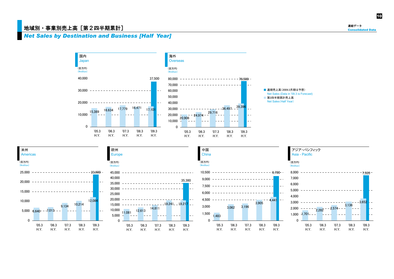## 地域別・事業別売上高「第2四半期累計]

連結データ**Consolidated Data** 

## *Net Sales by Destination and Business [Half Year]*



10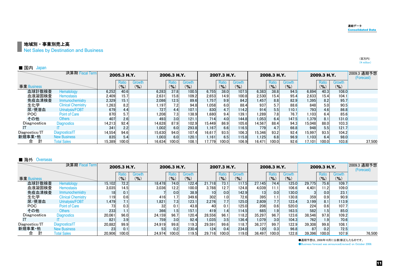(百万円)  $(\tt{4}$  million)

## ■ 地域別・事業別売上高

**Net Sales by Destination and Business** 

| ■ 国内 Japan     |                           |        |             |           |        |             |           |        |             |        |        |             |           |        |             |               |                           |
|----------------|---------------------------|--------|-------------|-----------|--------|-------------|-----------|--------|-------------|--------|--------|-------------|-----------|--------|-------------|---------------|---------------------------|
|                | 決算期 Fiscal Term           |        | 2005.3 H.Y. |           |        | 2006.3 H.Y. |           |        | 2007.3 H.Y. |        |        | 2008.3 H.Y. |           |        | 2009.3 H.Y. |               | 2009.3 通期予想<br>(Forecast) |
|                |                           |        | Ratio       | Growth    |        | Ratio       | Growth    |        | Ratio       | Growth |        | Ratio       | Growth    |        | Ratio       | <b>Growth</b> |                           |
| 事業 Business    |                           |        | $($ % $)$   | $(9)_{0}$ |        | $($ % $)$   | $($ % $)$ |        | $($ % $)$   | (%)    |        | (%)         | $(9)_{0}$ |        | (%)         | $($ % $)$     |                           |
| 血球計数検査         | Hematology                | 6,252  | 40.6        |           | 6,283  | 37.8        | 100.5     | 6,755  | 38.0        | 107.5  | 6,383  | 38.8        | 94.5      | 6,894  | 40.3        | 108.0         |                           |
| 血液凝固検査         | <b>Hemostasis</b>         | 2,409  | 15.7        |           | 2,631  | 15.8        | 109.2     | 2,653  | 14.9        | 100.8  | 2,530  | 15.4        | 95.4      | 2,633  | 15.4        | 104.1         |                           |
| 免疫血清検査         | Immunochemistry           | 2,329  | 15.1        |           | 2.086  | 12.5        | 89.6      | 1,757  | 9.9         | 84.2   | 1,457  | 8.8         | 82.9      | 1.395  | 8.2         | 95.7          |                           |
| 生化学            | <b>Clinical Chemistry</b> | 1,263  | 8.2         |           | 1.197  | 7.2         | 94.8      | 1.058  | 6.0         | 88.4   | 937    | 5.7         | 88.6      | 848    | 5.0         | 90.5          |                           |
| 尿/便潜血          | Urinalysis/FOBT           | 679    | 4.4         |           | 727    | 4.4         | 107.1     | 830    | 4.7         | 114.2  | 914    | 5.5         | 110.1     | 793    | 4.6         | 86.8          |                           |
| POC            | <b>Point of Care</b>      | 870    | 5.7         |           | .208   | 7.3         | 138.9     | 1,680  | 9.4         | 139.1  | 289. ا | 7.8         | 76.7      | 1.103  | 6.4         | 85.6          |                           |
| その他            | <b>Others</b>             | 407    | 2.6         |           | 493    | 3.0         | 121.1     | 714    | 4.0         | 144.8  | 1.053  | 6.4         | 147.5     | 1.379  | 8.1         | 131.0         |                           |
| Diagnostics    | <b>Diagnostics</b>        | 14,213 | 92.4        |           | 14.628 | 87.9        | 102.9     | 15.449 | 86.9        | 105.6  | 14,567 | 88.4        | 94.3      | 15,048 | 88.0        | 103.3         |                           |
|                |                           | 341    | 2.21        |           | 1.002  | 6.0         | 293.8     | 1.167  | 6.6         | 116.5  | 779    | 4.7         | 66.8      | 948    | 5.5         | 121.7         |                           |
| Diagnostics/IT | Diagnostics/IT            | 14.554 | 94.6        |           | 15.630 | 94.0        | 107.4     | 16.617 | 93.5        | 106.3  | 15,346 | 93.2        | 92.4      | 15,997 | 93.5        | 104.2         |                           |
| 新規事業·他         | <b>New Business</b>       | 835    | 5.4         |           | 1.003  | 6.0         | 120.1     | 1,161  | 6.5         | 115.8  | 1,125  | 6.8         | 96.9      | 1.103  | 6.4         | 98.0          |                           |
| 合              | <b>Total Sales</b>        | 15.389 | 100.0       |           | 16.634 | 100.0       | 108.1     | 17.779 | 100.0       | 106.9  | 16.471 | 100.0       | 92.6      | 17.101 | 100.0       | 103.8         | 37.500                    |

#### ■ 海外 Overseas

|                | 決算期 Fiscal Term           |                 | 2005.3 H.Y.    |                     |        | 2006.3 H.Y.       |               |        | 2007.3 H.Y.    |                  |                 | 2008.3 H.Y.        |                     |        | 2009.3 H.Y.        |                     | 2009.3 通期予想<br>(Forecast) |
|----------------|---------------------------|-----------------|----------------|---------------------|--------|-------------------|---------------|--------|----------------|------------------|-----------------|--------------------|---------------------|--------|--------------------|---------------------|---------------------------|
| 事業 Business    |                           |                 | Ratio<br>(9/6) | Growth<br>$(9)_{0}$ |        | Ratio<br>$($ %)   | Growth<br>(%) |        | Ratio<br>(9/0) | Growth<br>$($ %) |                 | Ratio<br>$($ % $)$ | Growth<br>$($ % $)$ |        | Ratio<br>$($ % $)$ | Growth<br>$(9)_{0}$ |                           |
| 血球計数検査         | <b>Hematology</b>         | 15.102          | 72.2           |                     | 18,478 | 74.0              | 122.4         | 21.718 | 73.1           | 117.5            | 27,145          | 74.4               | 125.0               | 29,775 | 75.6               | 109.7               |                           |
| 血液凝固検査         | <b>Hemostasis</b>         | 3,035           | 14.5           |                     | 3.036  | 12.2 <sub>1</sub> | 100.0         | 3,788  | 12.7           | 124.8            | 4,039           | 11.1               | 106.6               | 4.401  | 11.2               | 109.0               |                           |
| 免疫血清検査         | <b>Immunochemistry</b>    | 18              | 0.1            |                     |        | 0.0               | 38.9          | 10     | 0.0            | 142.9            | 13 <sub>i</sub> | 0.0                | <b>130.0</b>        |        | 0.0                | 23.1                |                           |
| 生化学            | <b>Clinical Chemistry</b> | 119             | 0.6            |                     | 416    |                   | 349.6         | 302    | 1.0            | 72.6             | 395             | 1.1                | 130.8               | 359    | 0.9                | 90.9                |                           |
| 尿/便潜血          | Urinalysis/FOBT           | 1.479           | 7.1            |                     | 1.821  | 7.3               | 123.1         | 2,276  | 7.7            | 125.0            | 2,809           | 7.7                | 123.4               | 3.199  | 8.1                | 113.9               |                           |
| POC            | <b>Point of Care</b>      | 731             | 0.3            |                     | 32     | 0.1               | 43.8          | 40     | 0.1            | 125.0            | 208             | 0.6                | 520.0               | 224    | 0.6                | 107.7               |                           |
| その他            | Others                    | 233             | 1.1            |                     | 366    | 1.5               | 157.1         | 419    | 1.4            | 114.5            | 685             | 1.9                | 163.5               | 582    | 1.5                | 85.0                |                           |
| Diagnostics    | <b>Diagnostics</b>        | 20,061          | 96.0           |                     | 24,159 | 96.7              | 120.4         | 28,556 | 96.1           | 118.2            | 35,297          | 96.7               | 123.6               | 38,546 | 97.8               | 109.2               |                           |
|                |                           | 821             | 3.9            |                     | 759    | 3.0               | 92.4          | 1,035  | 3.5            | 136.4            | 1,079           | 3.0                | 104.3               | 762    | 1.9                | 70.6                |                           |
| Diagnostics/IT | Diagnostics/IT            | 20,882          | 99.9           |                     | 24.919 | 99.8              | 119.3         | 29.591 | 99.6           | 118.7            | 36,377          | 99.7               | 122.9               | 39,308 | 99.8               | 108.1               |                           |
| 新規事業·他         | <b>New Business</b>       | 23 <sup>1</sup> | 0.1            |                     | 53     | 0.2               | 230.4         | 124    | 0.4            | 234.0            | 120             | 0.3                | 96.8                | 87     | 0.2                | 72.5                |                           |
| 計<br>合         | <b>Total Sales</b>        | 20,906          | 100.0          |                     | 24.974 | 100.01            | 119.5         | 29.716 | 100.0          | 119.0            | 36.497          | 100.0              | 122.8               | 39,396 | 100.0              | 107.9               | 76.500                    |

●通期予想は、2008年10月に公表(修正)したものです。

●Business forecast was announced(revised) on October 2008.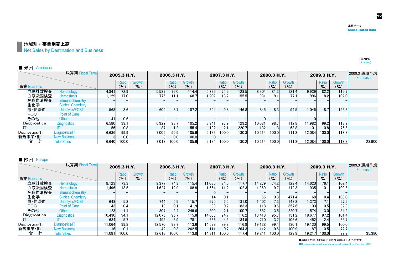## ■ 地域別・事業別売上高

**Net Sales by Destination and Business** 

| ■ 米州<br>Americas |                           |       |                    |                  |       |              |                  |       |              |                            |        |                    |                  |                  |              |                  |                           |
|------------------|---------------------------|-------|--------------------|------------------|-------|--------------|------------------|-------|--------------|----------------------------|--------|--------------------|------------------|------------------|--------------|------------------|---------------------------|
|                  | 決算期 Fiscal Term           |       | 2005.3 H.Y.        |                  |       | 2006.3 H.Y.  |                  |       | 2007.3 H.Y.  |                            |        | 2008.3 H.Y.        |                  |                  | 2009.3 H.Y.  |                  | 2009.3 通期予想<br>(Forecast) |
| 事業 Business      |                           |       | Ratio<br>$(9)_{0}$ | Growth<br>$($ %) |       | Ratio<br>(%) | Growth<br>$($ %) |       | Ratio<br>(%) | <b>Growth</b><br>$($ % $)$ |        | Ratio<br>$($ % $)$ | Growth<br>$($ %) |                  | Ratio<br>(%) | Growth<br>$($ %) |                           |
| 血球計数検査           | Hematology                | 4,841 | 72.9               |                  | 5,537 | 79.0         | 114.4            | 6,839 | 74.9         | 123.5                      | 8,304  | 81.3               | 121.4            | 9,939            | 82.2         | 119.7            |                           |
| 血液凝固検査           | <b>Hemostasis</b>         | l.129 | 17.0               |                  | 776   | 11.1         | 68.7             | 1.207 | 13.2         | 155.5                      | 931    |                    | 77.1             | 996              | 8.2          | 107.0            |                           |
| 免疫血清検査           | Immunochemistry           |       |                    |                  |       |              |                  |       |              |                            |        |                    |                  |                  |              |                  |                           |
| 生化学              | <b>Clinical Chemistry</b> |       |                    |                  |       |              |                  |       |              |                            |        |                    |                  |                  |              |                  |                           |
| 尿/便潜血            | Urinalysis/FOBT           | 568   | 8.6                |                  | 609   | 8.7          | 107.2            | 894   | 9.8          | 146.8                      | 845    | 8.3                | 94.5             | 1.046            | 8.7          | 123.8            |                           |
| POC              | <b>Point of Care</b>      |       |                    |                  |       |              |                  |       |              |                            |        |                    |                  |                  |              |                  |                           |
| その他              | <b>Others</b>             | 41    | 0.6                |                  |       |              |                  |       |              |                            |        |                    |                  |                  |              |                  |                           |
| Diagnostics      | <b>Diagnostics</b>        | 6,580 | 99.1               |                  | 6,922 | 98.7         | 105.2            | 8,941 | 97.9         | 129.2                      | 10,081 | 98.7               | <b>112.8</b>     | 11,982           | 99.2         | 118.9            |                           |
|                  |                           |       | 0.8                |                  | 87    |              | 155.4            | 192   | 2.1          | 220.7                      | 132    |                    | 68.8             | 101 <sub>1</sub> | 0.8          | 76.5             |                           |
| Diagnostics/IT   | Diagnostics/IT            | 6,636 | 99.9               |                  | 7.009 | 99.9         | 105.6            | 9,133 | 100.0        | 130.3                      | 10.214 | 100.0              | 111.8            | 12.084           | 100.0        | 118.3            |                           |
| 新規事業·他           | <b>New Business</b>       |       | 0.0                |                  |       | 0.0          | 100.0            |       |              |                            |        |                    |                  |                  |              |                  |                           |
| 合                | <b>Total Sales</b>        | 6.640 | 100.0              |                  | 7.013 | 100.0        | 105.6            | 9.134 | 100.0        | 130.2                      | 10.214 | 100.0              | 111.8            | 12.084           | 100.0        | 118.3            | 23.900                    |

#### ■ 欧州 Europe

|                | 決算期 Fiscal Term           |        | 2005.3 H.Y.        |                     |        | 2006.3 H.Y.        |                     |        | 2007.3 H.Y.                       |                     |        | 2008.3 H.Y.    |                  |        | 2009.3 H.Y.     |                            | 2009.3 通期予想<br>(Forecast) |
|----------------|---------------------------|--------|--------------------|---------------------|--------|--------------------|---------------------|--------|-----------------------------------|---------------------|--------|----------------|------------------|--------|-----------------|----------------------------|---------------------------|
| 事業 Business    |                           |        | Ratio<br>$($ % $)$ | Growth<br>$($ % $)$ |        | Ratio<br>$($ % $)$ | Growth<br>$($ % $)$ |        | Ratio<br>$\mathcal{O}_\mathbf{0}$ | Growth<br>$(9)_{0}$ |        | Ratio<br>(9/6) | Growth<br>$($ %) |        | Ratio<br>$($ %) | <b>Growth</b><br>$(9)_{0}$ |                           |
| 血球計数検査         | Hematology                | 8,123  | 73.3               |                     | 9,377  | 74.3               | 115.4               | 11.036 | 74.5                              | 117.7               | 14,279 | 74.2           | 129.4            | 14,620 | 76.1            | 102.4                      |                           |
| 血液凝固検査         | <b>Hemostasis</b>         | 1,496  | 13.5               |                     | 1,627  | 12.9               | 108.8               | .664   | 11.2                              | 102.3               | 1.869  | 9.7            | 112.3            | 1.935  | 10.1            | 103.5                      |                           |
| 免疫血清検査         | Immunochemistry           |        |                    |                     |        |                    |                     |        |                                   |                     |        |                |                  |        |                 |                            |                           |
| 生化学            | <b>Clinical Chemistry</b> |        |                    |                     |        |                    |                     | 14     | 0.1                               |                     | 66     | 0.3            | 471.4            | 68     | 0.4             | 103.0                      |                           |
| 尿/便潜血          | Urinalysis/FOBT           | 643    | 5.8                |                     | 744    | 5.9                | 115.7               | 975    | 6.6                               | 131.0               | 1.402  | 7.3            | 143.8            | 1.373  | 7.1             | 97.9                       |                           |
| POC            | <b>Point of Care</b>      | 43     | 0.4                |                     | 18     |                    | 41.9                | 33     | 0.2                               | 183.3               | 118    | 0.6            | 357.6            | 103    | 0.5             | 87.3                       |                           |
| その他            | Others                    | 123    | 1.1                |                     | 307    | 2.4                | 249.6               | 309    | 2.1                               | 100.7               | 682    | 3.5            | <b>220.7</b>     | 574    | 3.0             | 84.2                       |                           |
| Diagnostics    | <b>Diagnostics</b>        | 10,430 | 94.1               |                     | 12,075 | 95.7               | 115.8               | 14,033 | 94.7                              | 116.2               | 18.418 | 95.7           | 131.2            | 18.677 | 97.2            | 101.4                      |                           |
|                |                           | 634    | 5.7                |                     | 495    | 3.9                | 78.1                | 666    | 4.5                               | 134.5               | 710    | 3.7            | 106.6            | 452    | 2.4             | 63.7                       |                           |
| Diagnostics/IT | Diagnostics/IT            | 11,064 | 99.8               |                     | 12,570 | 99.7               | 113.6               | 14,699 | 99.2                              | 116.9               | 19.128 | 99.4           | 130.1            | 19.130 | 99.5            | 100.0                      |                           |
| 新規事業·他         | <b>New Business</b>       |        | 0.1                |                     | 42     | 0.3                | 262.5               | 111    | 0.7                               | 264.3               | 112    | 0.6            | 100.9            | 87     | 0.5             | 77.7                       |                           |
| 計<br>合         | <b>Total Sales</b>        | 11.081 | 100.0              |                     | 12.613 | 100.0              | 113.8               | 14.811 | 100.0                             | 117.4               | 19,241 | 100.0          | <b>129.9</b>     | 19,217 | 100.0           | 99.9                       | 35.380                    |

●通期予想は、2008年10月に公表(修正)したものです。

●Business forecast was announced(revised) on October 2008.

(百万円)  $(\tt{4}$  million) 12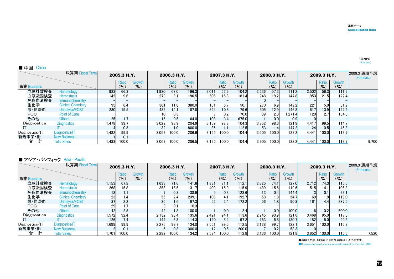| ■ 中国<br>China  |                           |       |                    |                                      |                 |                    |                     |                 |                    |               |       |                    |                                      |       |                    |                  |                           |
|----------------|---------------------------|-------|--------------------|--------------------------------------|-----------------|--------------------|---------------------|-----------------|--------------------|---------------|-------|--------------------|--------------------------------------|-------|--------------------|------------------|---------------------------|
|                | 決算期 Fiscal Term           |       | 2005.3 H.Y.        |                                      |                 | 2006.3 H.Y.        |                     |                 | 2007.3 H.Y.        |               |       | 2008.3 H.Y.        |                                      |       | 2009.3 H.Y.        |                  | 2009.3 通期予想<br>(Forecast) |
| 事業 Business    |                           |       | Ratio<br>$(9)_{0}$ | Growth<br>$\mathcal{O}_{\mathbf{0}}$ |                 | Ratio<br>$($ % $)$ | Growth<br>$($ % $)$ |                 | Ratio<br>$($ % $)$ | Growth<br>(9) |       | Ratio<br>$($ % $)$ | Growth<br>$\mathcal{O}_{\mathbf{O}}$ |       | Ratio<br>$(9)_{0}$ | Growth<br>$(\%)$ |                           |
| 血球計数検査         | Hematology                | 983   | 66.3               |                                      | 1.930           | 63.0               | 196.3               | 2,011           | 62.9               | 104.2         | 2,236 | 57.3               | 111.2                                | 2,502 | 56.3               | 111.9            |                           |
| 血液凝固検査         | <b>Hemostasis</b>         | 142   | 9.6                |                                      | 279             |                    | 196.5               | 506             | 15.8               | 181.4         | 748   | 19.2               | 147.8                                | 953   | 21.5               | 127.4            |                           |
| 免疫血清検査         | Immunochemistry           |       |                    |                                      |                 |                    |                     |                 |                    |               |       |                    |                                      |       |                    |                  |                           |
| 生化学            | <b>Clinical Chemistry</b> | 95    | 6.4                |                                      | 361             | 11.8               | 380.0               | 181             | 5.7                | 50.1          | 270   | 6.9                | 149.2 <b>1</b>                       | 221   | 5.0                | 81.9             |                           |
| 尿/便潜血          | Urinalysis/FOBT           | 230   | 15.5               |                                      | 432             | 14.1               | 187.8               | 344             | 10.8               | 79.6          | 505   | 12.9               | 146.8                                | 617   | 13.9               | 122.2            |                           |
| POC            | <b>Point of Care</b>      |       |                    |                                      | 10              | 0.3 <sub>1</sub>   |                     |                 | 0.2                | 70.0          | 89    | 2.3                | 1.271.4                              | 1201  | 2.7                | 134.8            |                           |
| その他            | Others                    | 25    | 1.7                |                                      | 16 <sub>1</sub> | 0.5                | 64.0                | 108             | 3.4                | 675.0         |       | 0.0                | 0.9 <sub>l</sub>                     |       |                    |                  |                           |
| Diagnostics    | <b>Diagnostics</b>        | 1.478 | 99.7               |                                      | 3,029           | 98.9               | 204.9               | 3,159           | 98.8               | 104.3         | 3,852 | 98.6               | 121.9                                | 4,417 | 99.5               | 114.7            |                           |
|                |                           |       | 0.3                |                                      | 32              | 1.0 <sub>l</sub>   | 800.0               | 36 <sup>°</sup> | 1.1                | 112.5         | 53    | 1.4                | 147.2 <b>1</b>                       | 24    | 0.5                | 45.3             |                           |
| Diagnostics/IT | Diagnostics/IT            | 1.482 | 99.9               |                                      | 3.062           | 100.0              | 206.6               | 3.196           | 100.0              | 104.4         | 3,905 | 100.0              | 122.2                                | 4.441 | 100.0              | 113.7            |                           |
| 新規事業·他         | <b>New Business</b>       |       | 0.1                |                                      |                 |                    |                     |                 |                    |               |       |                    |                                      |       |                    |                  |                           |
| 合              | <b>Total Sales</b>        | .483  | 100.0              |                                      | 3.062           | 100.0              | 206.5               | 3,196           | 100.0              | 104.4         | 3,905 | 100.0              | 122.2                                | 4.441 | 100.0              | 113.7            | 9.700                     |

#### ■ アジア・パシフィック Asia - Pacific

|                | 決算期 Fiscal Term           |      | 2005.3 H.Y.  |               |       | 2006.3 H.Y.        |                     |       | 2007.3 H.Y.        |                 |                 | 2008.3 H.Y.        |                         |       | 2009.3 H.Y.        |                     | 2009.3 通期予想<br>(Forecast) |
|----------------|---------------------------|------|--------------|---------------|-------|--------------------|---------------------|-------|--------------------|-----------------|-----------------|--------------------|-------------------------|-------|--------------------|---------------------|---------------------------|
| 事業 Business    |                           |      | Ratio<br>(%) | Growth<br>(%) |       | Ratio<br>$($ % $)$ | Growth<br>$(9)_{0}$ |       | Ratio<br>$($ % $)$ | Growth<br>(9/6) |                 | Ratio<br>$(9)_{0}$ | Growth<br>$\frac{9}{6}$ |       | Ratio<br>$($ % $)$ | Growth<br>$($ % $)$ |                           |
| 血球計数検査         | Hematology                | .153 | 67.8         |               | 1,633 | 71.6               | 141.6               | 1,831 | 71.1               | 112.1           | 2,325           | 74.1               | 127.0                   | 2,712 | 74.3               | 116.6               |                           |
| 血液凝固検査         | <b>Hemostasis</b>         | 268  | 15.8         |               | 353   | 15.5               | 131.7               | 409   | 15.9               | 115.9           | 489             | 15.6               | <b>119.6</b>            | 515   | 14.1               | 105.3               |                           |
| 免疫血清検査         | Immunochemistry           | 181  | 1.1          |               |       | 0.3                | 38.9                |       | 0.3                | 128.6           | 13 <sup>1</sup> | 0.4                | 144.4                   |       | 0.1                | 23.1                |                           |
| 生化学            | <b>Clinical Chemistry</b> | 23   | 1.4          |               | 55    | 2.4                | 239.1               | 106   | 4.1                | 192.7           | 58              | 1.8                | 54.7                    | 69    | 1.9                | 119.0               |                           |
| 尿/便潜血          | Urinalysis/FOBT           | 37   | 2.2          |               | 36    | 1.6                | 97.3                | 62    | 2.4                | 172.2           | 56              | 1.8                | 90.3                    | 161   | 4.4                | 287.5               |                           |
| POC.           | <b>Point of Care</b>      | 29   | 1.7          |               |       | 0.1                | 10.3                |       |                    |                 |                 |                    |                         |       |                    |                     |                           |
| その他            | <b>Others</b>             | 42   | 2.5          |               | 42    | 1.8                | 100.0               |       | 0.0                | 2.4             |                 | 0.0                | 100.0                   |       | 0.2                | 600.0               |                           |
| Diagnostics    | <b>Diagnostics</b>        | .572 | 92.4         |               | 2.132 | 93.4               | 135.6               | 2,421 | 94.1               | 113.61          | 2,945           | 93.9               | 121.6                   | 3,468 | 95.0               | 117.8               |                           |
|                |                           | 126  | 7.4          |               | 144   | 6.3                | 114.3               | 140   | 5.4                | 97.2            | 183             | 5.8                | 130.7                   | 182   | 5.0                | 99.5                |                           |
| Diagnostics/IT | Diagnostics/IT            | .699 | 99.9         |               | 2.276 | 99.7               | 134.0               | 2,561 | 99.5               | 112.5           | 3.128           | 99.7               | 122.1                   | 3.651 | 100.0              | 116.7               |                           |
| 新規事業·他         | <b>New Business</b>       |      | 0.1          |               |       | 0.3                | 300.0               | 12    | 0.5                | 200.0           |                 | 0.2                | 58.3                    |       |                    |                     |                           |
| 計<br>合         | <b>Total Sales</b>        | .701 | 100.0        |               | 2.282 | 100.0              | 134.2               | 2.574 | 100.0              | 112.8           | 3.136           | 100.0              | 121.8                   | 3.652 | 100.0              | 116.5               | 7.520                     |

●通期予想は、2008年10月に公表(修正)したものです。

●Business forecast was announced(revised) on October 2008.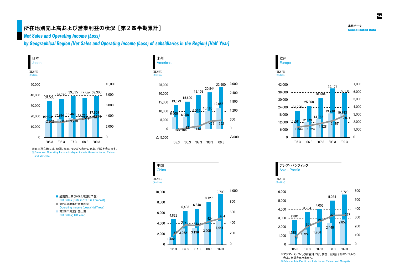## *Net Sales and Operating Income (Loss)*

*by Geographical Region (Net Sales and Operating Income (Loss) of subsidiaries in the Region) [Half Year]* 



※日本所在地には、韓国、台湾、モンゴル向けの売上、利益を含みます。 ※Sales and Operating Income in Japan include those to Korea, Taiwan and Mongolia.



■ 第2四半期累計売上高 Net Sales(Half Year)









連結データ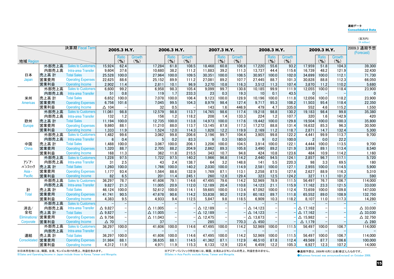#### 連結データConsolidated Data

(百万円)<br>(¥ million)

|                 |       | 決算期 Fiscal Term           |                   | 2005.3 H.Y.              |           |                    | 2006.3 H.Y. |           |                    | 2007.3 H.Y. |           |                    | 2008.3 H.Y. |           |                    | 2009.3 H.Y. |               | 2009.3 通期予想<br>(Forecast) |
|-----------------|-------|---------------------------|-------------------|--------------------------|-----------|--------------------|-------------|-----------|--------------------|-------------|-----------|--------------------|-------------|-----------|--------------------|-------------|---------------|---------------------------|
|                 |       |                           |                   | Ratio                    | Growth    |                    | Ratio       | Growth    |                    | Ratio       | Growth    |                    | Ratio       | Growth    |                    | Ratio       | <b>Growth</b> |                           |
| 地域 Region       |       |                           |                   | $($ % $)$                | $($ % $)$ |                    | $($ % $)$   | $($ % $)$ |                    | $($ % $)$   | $($ % $)$ |                    | $($ % $)$   | $($ % $)$ |                    | $($ % $)$   | $($ % $)$     |                           |
|                 | 外部売上高 | <b>Sales to Customers</b> | 15,924            | 62.4                     |           | 17,284             | 61.8        | 108.5     | 18,468             | 60.8        | 106.9     | 17,220             | 55.6        | 93.2      | 17,959             | 51.8        | 104.3         | 39,300                    |
|                 | 内部売上高 | Intra-area Transfer       | 9.604             | 37.6                     |           | 10,680             | 38.2        | 111.2     | 11.883             | 39.2        | 111.3     | 13,737             | 44.4        | 115.6     | 16.739             | 48.2        | 121.9         | 32,430                    |
| 日本              | 売上高 計 | <b>Total Sales</b>        | 25,528            | 100.0                    |           | 27,964             | 100.0       | 109.5     | 30,351             | 100.0       | 108.5     | 30,957             | 100.0       | 102.0     | 34,699             | 100.0       | 112.1         | 71,730                    |
| Japan           | 営業費用  | <b>Operating Expenses</b> | 22,625            | 88.6                     |           | 25,152             | 89.9        | 111.2     | 27,081             | 89.2        | 107.7     | 27,445             | 88.7        | 101.3     | 30.828             | 88.8        | 112.3         | 66,050                    |
|                 | 営業利益  | <b>Operating Income</b>   | 2.902             | 11.4                     |           | 2,811              | 10.1        | 96.9      | 3,270              | 10.8        | 116.3     | 3,512              | 11.3        | 107.4     | 3.870              | 11.2        | 110.2         | 5,680                     |
|                 | 外部売上高 | <b>Sales to Customers</b> | 6,600             | 99.2                     |           | 6,958              | 98.3        | 105.4     | 9,099              | 99.7        | 130.8     | 10,185             | 99.9        | 111.9     | 12,055             | 100.0       | 118.4         | 23,900                    |
|                 | 内部売上高 | Intra-area Transfer       | 51                | 0.8                      |           | 119                | 1.7         | 233.3     | 23                 | 0.3         | 19.3      | 10                 | 0.1         | 43.5      | $\mathbf{0}$       |             |               |                           |
| 米州              | 売上高 計 | <b>Total Sales</b>        | 6,652             | 100.0                    |           | 7,078              | 100.0       | 106.4     | 9,123              | 100.0       | 128.9     | 10.196             | 100.0       | 111.8     | 12,056             | 100.0       | 118.2         | 23,900                    |
| <b>Americas</b> | 営業費用  | <b>Operating Expenses</b> | 6,756             | 101.6                    |           | 7,045              | 99.5        | 104.3     | 8,979              | 98.4        | 127.4     | 9,717              | 95.3        | 108.2     | 11,503             | 95.4        | 118.4         | 22,350                    |
|                 | 営業利益  | <b>Operating Income</b>   | $\triangle$ 104   |                          |           | 32                 | 0.5         |           | 143                | 1.6         | 446.9     | 479                | 4.7         | 335.0     | 552                | 4.6         | 115.2         | 1,550                     |
|                 | 外部売上高 | <b>Sales to Customers</b> | 11,061            | 98.8                     |           | 12,579             | 98.8        | 113.7     | 14,765             | 98.6        | 117.4     | 19,218             | 98.8        | 130.2     | 19,183             | 98.4        | 99.8          | 35,380                    |
|                 | 内部売上高 | Intra-area Transfer       | 132               | 1.2                      |           | 156                | 1.2         | 118.2     | 208                | 1.4         | 133.3     | 224                | 1.2         | 107.7     | 320                | 1.6         | 142.9         | 420                       |
| 欧州              | 売上高 計 | <b>Total Sales</b>        | 11,194            | 100.0                    |           | 12,735             | 100.0       | 113.8     | 14,973             | 100.0       | 117.6     | 19,442             | 100.0       | 129.8     | 19,504             | 100.0       | 100.3         | 35,800                    |
| Europe          | 営業費用  | <b>Operating Expenses</b> | 9,860             | 88.1                     |           | 11,210             | 88.0        | 113.7     | 13,145             | 87.8        | 117.3     | 17,272             | 88.8        | 131.4     | 16,632             | 85.3        | 96.3          | 30,500                    |
|                 | 営業利益  | <b>Operating Income</b>   | 1,333             | 11.9                     |           | 1,524              | 12.0        | 114.3     | 1.828              | 12.2        | 119.9     | 2,169              | 11.2        | 118.7     | 2.871              | 14.7        | 132.4         | 5,300                     |
|                 | 外部売上高 | Sales to Customers        | 1,482             | 99.6                     |           | 3,062              | 99.8        | 206.6     | 3,196              | 99.7        | 104.4     | 3,905              | 99.8        | 122.2     | 4,441              | 99.9        | 113.7         | 9,700                     |
|                 | 内部売上高 | Intra-area Transfer       | 6                 | 0.4                      |           | 5                  | 0.2         | 83.3      | <b>g</b>           | 0.3         | 180.0     | 9                  | 0.2         | 100.0     | $\overline{2}$     | 0.0         | 22.2          |                           |
| 中国              | 売上高 計 | <b>Total Sales</b>        | 1,488             | 100.0                    |           | 3,067              | 100.0       | 206.1     | 3,206              | 100.0       | 104.5     | 3,914              | 100.0       | 122.1     | 4.444              | 100.0       | 113.5         | 9,700                     |
| China           | 営業費用  | <b>Operating Expenses</b> | 1.320             | 88.7                     |           | 2,705              | 88.2        | 204.9     | 2,862              | 89.3        | 105.8     | 3,490              | 89.2        | 121.9     | 3.959              | 89.1        | 113.4         | 8,540                     |
|                 | 営業利益  | <b>Operating Income</b>   | 168               | 11.3                     |           | 362                | 11.8        | 215.5     | 343                | 10.7        | 94.8      | 424                | 10.8        | 123.6     | 484                | 10.9        | 114.2         | 1,160                     |
|                 | 外部売上高 | <b>Sales to Customers</b> | 1,228             | 97.5                     |           | 1,722              | 97.5        | 140.2     | 1,966              | 96.8        | 114.2     | 2,440              | 94.5        | 124.1     | 2,857              | 96.7        | 117.1         | 5,720                     |
| アジア・            | 内部売上高 | Intra-area Transfer       | 31                | 2.5                      |           | 43                 | 2.4         | 138.7     | 64                 | 3.2         | 148.8     | 141                | 5.5         | 220.3     | 98                 | 3.3         | 69.5          | 180                       |
| パシフィック          | 売上高 計 | <b>Total Sales</b>        | 1,260             | 100.0                    |           | 1,766              | 100.0       | 140.2     | 2,030              | 100.0       | 114.9     | 2,581              | 100.0       | 127.1     | 2,955              | 100.0       | 114.5         | 5,900                     |
| Asia -          | 営業費用  | <b>Operating Expenses</b> | 1,177             | 93.4                     |           | 1,564              | 88.6        | 132.9     | 1.769              | 87.1        | 113.1     | 2,258              | 87.5        | 127.6     | 2,627              | 88.9        | 116.3         | 5,310                     |
| Pacific         | 営業利益  | <b>Operating Income</b>   | 82                | 6.5                      |           | 201                | 11.4        | 245.1     | 260                | 12.8        | 129.4     | 323                | 12.5        | 124.2     | 327                | 11.1        | 101.2         | 590                       |
|                 | 外部売上高 | <b>Sales to Customers</b> | 36,297            | 78.7                     |           | 41,606             | 79.1        | 114.6     | 47,495             | 79.6        | 114.2     | 52,969             | 78.9        | 111.5     | 56,497             | 76.7        | 106.7         | 114,000                   |
|                 | 内部売上高 | Intra-area Transfer       | 9,827             | 21.3                     |           | 11,005             | 20.9        | 112.0     | 12,189             | 20.4        | 110.8     | 14,123             | 21.1        | 115.9     | 17,162             | 23.3        | 121.5         | 33,030                    |
| 計               | 売上高 計 | <b>Total Sales</b>        | 46.124            | 100.0                    |           | 52,612             | 100.0       | 114.1     | 59.685             | 100.0       | 113.4     | 67,092             | 100.0       | 112.4     | 73,659             | 100.0       | 109.8         | 147,030                   |
| <b>Total</b>    | 営業費用  | <b>Operating Expenses</b> | 41,741            | 90.5                     |           | 47,678             | 90.6        | 114.2     | 53.838             | 90.2        | 112.9     | 60.183             | 89.7        | 111.8     | 65,552             | 89.0        | 108.9         | 132,750                   |
|                 | 営業利益  | <b>Operating Income</b>   | 4,383             | 9.5                      |           | 4.933              | 9.4         | 112.5     | 5,847              | 9.8         | 118.5     | 6,909              | 10.3        | 118.2     | 8,107              | 11.0        | 117.3         | 14,280                    |
|                 | 外部売上高 | <b>Sales to Customers</b> |                   |                          |           |                    |             |           |                    |             |           |                    |             |           |                    |             |               |                           |
| 消去/             | 内部売上高 | Intra-area Transfer       | $\triangle$ 9.827 |                          |           | △ 11.005           |             |           | △ 12.189           |             |           | $\triangle$ 14.123 |             |           | $\Delta$ 17.162    |             |               | $\triangle$ 33,030        |
| 全社              | 売上高 計 | <b>Total Sales</b>        | $\Delta$ 9,827    | $\overline{\phantom{a}}$ |           | $\triangle$ 11,005 |             |           | △ 12,189           |             |           | $\triangle$ 14,123 |             |           | $\triangle$ 17.162 |             |               | $\triangle$ 33,030        |
| Eliminations/   | 営業費用  | <b>Operating Expenses</b> | $\Delta$ 9,756    |                          |           | $\triangle$ 11,043 |             |           | $\triangle$ 12,475 |             |           | $\Delta$ 13,673    |             |           | △ 15.982           |             |               | $\triangle$ 32,750        |
| Corporate       | 営業利益  | <b>Operating Income</b>   | $\triangle$ 70    |                          |           | 37                 |             |           | 285                |             | 770.3     | $\triangle$ 450    |             |           | $\triangle$ 1.179  |             |               | $\triangle$ 280           |
|                 | 外部売上高 | <b>Sales to Customers</b> | 36,297            | 100.0                    |           | 41,606             | 100.0       | 114.6     | 47.495             | 100.0       | 114.2     | 52,969             | 100.0       | 111.5     | 56,497             | 100.0       | 106.7         | 114,000                   |
|                 | 内部売上高 | Intra-area Transfer       |                   |                          |           |                    |             |           |                    |             |           |                    |             |           |                    |             |               |                           |
| 連結              | 売上高 計 | <b>Total Sales</b>        | 36.297            | 100.0                    |           | 41,606             | 100.0       | 114.6     | 47.495             | 100.0       | 114.2     | 52,969             | 100.0       | 111.5     | 56.497             | 100.0       | 106.7         | 114,000                   |
| Consolidated    | 営業費用  | <b>Operating Expenses</b> | 31,984            | 88.1                     |           | 36,635             | 88.1        | 114.5     | 41,362             | 87.1        | 112.9     | 46,510             | 87.8        | 112.4     | 49,569             | 87.7        | 106.6         | 100,000                   |
|                 | 営業利益  | <b>Operating Income</b>   | 4,312             | 11.9                     |           | 4.971              | 11.9        | 115.3     | 6,133              | 12.9        | 123.4     | 6,459              | 12.2        | 105.3     | 6.927              | 12.3        | 107.2         | 14,000                    |

※日本所在地には、韓国、台湾、モンゴル向けの売上、利益を含みます。※Sales and Operating Income in Japan include those to Korea, Taiwan and Mongolia.

※アジア・パシフィック所在地には、韓国、台湾およびモンゴルの売上、利益を含みません。 ※Sales in Asia Pacific exclude Korea, Taiwan and Mongolia.

●通期予想は、2008年10月に公表(修正)したものです。 ●Business forecast was announced(revised) on October 2008.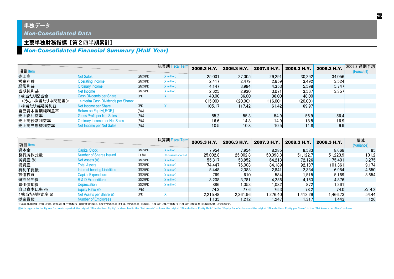## 単独データ

*Non-Consolidated Data*

## 主要単独財務指標 [第2四半期累計]

## *Non-Consolidated Financial Summary [Half Year]*

| 項目 Item       |                                                          |       | 決算期 Fiscal Term | 2005.3 H.Y.             | 2006.3 H.Y.             | 2007.3 H.Y.             | 2008.3 H.Y.             | 2009.3 H.Y. | 2009.3 通期予想<br>(Forecast) |
|---------------|----------------------------------------------------------|-------|-----------------|-------------------------|-------------------------|-------------------------|-------------------------|-------------|---------------------------|
| 売上高           | <b>Net Sales</b>                                         | (百万円) | $(*$ million)   | 25,001                  | 27,005                  | 29,291                  | 30,292                  | 34,056      |                           |
| 営業利益          | <b>Operating Income</b>                                  | (百万円) | $(*$ million)   | 2.417                   | 2.479                   | 2,659                   | 3,492                   | 3,524       |                           |
| 経常利益          | Ordinary Income                                          | (百万円) | $(*$ million)   | 4.147                   | 3.984                   | 4.353                   | 5.598                   | 5.747       |                           |
| 当期純利益         | Net Income                                               | (百万円) | $(4$ million)   | 2,625                   | 2,930                   | 3,071                   | 3,567                   | 3.357       |                           |
| 1株当たり配当金      | <b>Cash Divdends per Share</b>                           | (円)   | $(\c{4})$       | 40.00                   | 36.00                   | 36.00                   | 48.00                   |             |                           |
| <うち1株当たり中間配当> | <interim cash="" dividends="" per="" share=""></interim> |       |                 | $\langle 15.00 \rangle$ | $\langle 20.00 \rangle$ | $\langle 16.00 \rangle$ | $\langle 20.00 \rangle$ |             |                           |
| 1株当たり当期純利益    | Net Income per Share                                     | (円)   | $(\c{4})$       | 105.17                  | 117.42                  | 61.42                   | 69.97                   |             |                           |
| 自己資本当期純利益率    | Return on Equity [ROE]                                   | (96)  |                 |                         |                         |                         |                         |             |                           |
| 売上総利益率        | <b>Gross Profit per Net Sales</b>                        | (96)  |                 | 55.2                    | 55.3                    | 54.9                    | 56.9                    | 56.4        |                           |
| 売上高経常利益率      | <b>Ordinary Income per Net Sales</b>                     | (96)  |                 | 16.6                    | 14.8                    | 14.9                    | 18.5                    | 16.9        |                           |
| 売上高当期純利益率     | Net Income per Net Sales                                 | (9/6) |                 | 10.5                    | 10.8                    | 10.5                    | 11.8                    | 9.9         |                           |

| 項目 Item    |                                     |       | 決算期 Fiscal Term   | 2005.3 H.Y. | 2006.3 H.Y. | 2007.3 H.Y. | 2008.3 H.Y. | 2009.3 H.Y. | 増減<br>(Variance) |
|------------|-------------------------------------|-------|-------------------|-------------|-------------|-------------|-------------|-------------|------------------|
| 資本金        | <b>Capital Stock</b>                | (百万円) | $(*$ million)     | 7,954       | 7,954       | 8,285       | 8,583       | 8,668       | 85               |
| 発行済株式数     | Number of Shares Issued             | (千株)  | (thousand shares) | 25,002.8    | 25,002.8    | 50.398.3    | 51,122.7    | 51.223.9    | 101.2            |
| 純資産 ※      | Net Assets $\mathbb{X}$             | (百万円) | $(*$ million)     | 55,317      | 58.952      | 64.213      | 72.126      | 75,401      | 3,275            |
| 総資産        | <b>Total Assets</b>                 | (百万円) | $(*$ million)     | 74.447      | 76,008      | 84,189      | 92.187      | 101.361     | 9,174            |
| 有利子負債      | <b>Interest-bearing Liabilities</b> | (百万円) | $(*$ million)     | 5.448       | 2,083       | 2,841       | 2,334       | 6.984       | 4,650            |
| 設備投資       | <b>Capital Expenditure</b>          | (百万円) | $(*$ million)     | 769         | 610         | 584         | 1.515       | 5.169       | 3.654            |
| 研究開発費      | R & D Expenditure                   | (百万円) | $(*$ million)     | 3,208       | 3.781       | 4.256       | 4.163       | 4.876       |                  |
| 減価償却費      | Depreciation                        | (百万円) | $(*$ million)     | 886         | 1,053       | 1,082       | 872         | ,261        |                  |
| 自己資本比率 ※   | Equity Ratio X                      | (96)  |                   | 74.3        | 77.6        | 76.3        | 78.2        | <b>74.0</b> | $\triangle$ 4.2  |
| 1株当たり純資産 ※ | Net Assets per Share X              | (H)   | $(\yen)$          | 2,215.48    | 2,361.96    | 1,276.40    | 1,412.29    | 1,466.73    | 54.44            |
| 従業員数       | Number of Employees                 |       |                   | l,135       | 1.212       | ,247        | 1,317       | 1,443       | 126              |

※過年度の数値については、従来の「株主資本」を「純資産」の欄に、「株主資本比率」を「自己資本比率」の欄に、「1株当たり株主資本」を「1株当たり純資産」の欄に記載しております。

With regards to the figures for previous period, the original "Shareholders' Equity" is described in the "Net Assets" column, the original "Shareholders' Equity Ratio" in the "Equity Ratio" column and the original "Shareho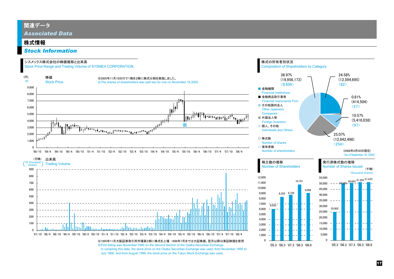## 関連データ

*Associated Data*

## 株式情報

## *Stock Information*

#### シスメックス株式会社の株価推移と出来高

Stock Price Range and Trading Volume of SYSMEX CORPORATION





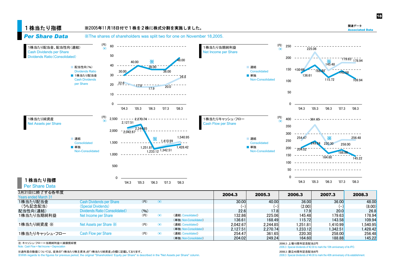#### 1株当たり指標 ※2005年11月18日付で1株を2株に株式分割を実施しました。 *Per Share Data*※The shares of shareholders was split two for one on November 18,2005. (円) (円) 602501株当たり配当金、配当性向(連結) 1株当たり当期純利益 $(\mathbf{\mathsf{Y}})$  $725.06$  $(\angle)$ Net Income per Share 50 $= -$



| <b>Per Share Data</b> |
|-----------------------|
|-----------------------|

| 3月31日に終了する各年度<br><b>Years ended March 31</b> |                                   |       |            |                        | 2004.3   | 2005.3   | 2006.3    | 2007.3                | 2008.3            |
|----------------------------------------------|-----------------------------------|-------|------------|------------------------|----------|----------|-----------|-----------------------|-------------------|
| 1株当たり配当金                                     | <b>Cash Dividends per Share</b>   | (円)   | $(\c{(*)}$ |                        | 30.00    | 40.00    | 36,00     | 36.00                 | 48.00             |
| (うち記念配当)                                     | (Special Dividends)               |       |            |                        |          |          | (2.00)    |                       | (8.00)            |
| 配当性向(連結)                                     | Dividends Ratio (Consolidated)    | (9/6) |            |                        | 22.6     | 17.8     | 17.9      | 20.0                  | 26.8              |
| 1株当たり当期純利益                                   | Net Income per Share              | (円)   | $(\yen)$   | (連結: Consolidated)     | 132.86   | 225.06   | 145.48    | 179.63 <mark>1</mark> | 178.94            |
|                                              |                                   |       |            | (単独: Non-Consolidated) | 136.61   | 168.49   | 115.72    | 143.58                | 109.94            |
| 1株当たり純資産 ※                                   | Net Assets per Share $\mathbb{X}$ | (円)   | $(\c{4})$  | (連結:Consolidated)      | 2.042.67 | 2.244.85 | .251.81   | 1.410.99              | 1.540.95          |
|                                              |                                   |       |            | (単独: Non-Consolidated) | 2.127.51 | 2.270.74 | 1.233.121 | 1.342.51              | l.428.42 <b>l</b> |
| 1株当たりキャッシュ・フロー                               | Cash Flow per Share               | (H)   | $(\c{})$   | (連結:Consolidated)      | 254.47   | 361.65   | 220.30    | 258,00                | 256.48            |
|                                              |                                   |       |            | (単独: Non-Consolidated) | 204.02   | 249.24   | 164.60    | 188.88                | <b>145.22</b>     |

注:キャッシュ・フロー=当期純利益+減価償却費

Note: Cash Flow = Net Income + Depreciation

※過年度の数値については、従来の「1株当たり株主資本」を「1株当たり純資産」の欄に記載しております。

※With regards to the figures for previous period, the original "Shareholders' Equity per Share" is described in the "Net Assets per Share" column.

2006.3:上場10周年記念配当2円

Flow = Net Income + Depreciation 2006.3:Special dividends of \2.00 to mark the 10th anniversary of its IPO.

 2008.3:創立40周年記念配当8円2008.3: Special dividends of ¥8.00 to mark the 40th anniversary of its establishment. 18

関連データAssociated Data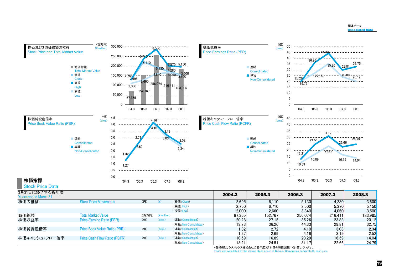#### 関連データAssociated Data



\*各指標は、シスメックス株式会社の各年度3月31日の終値を用いて計算しています。

\*Data was calculated by the closing stock prices of Sysmex Corporation on March 31, each year.

24.51 31.17 22.66 24.79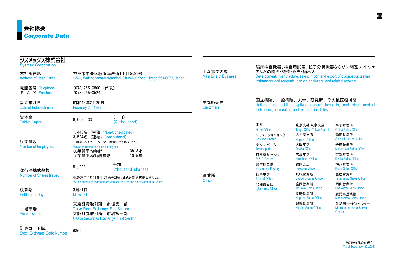## *Corporate Data*

| シスメックス株式会社<br><b>Sysmex Corporation</b>       |                                                                                                                                 |                                        |                                                             |                                                                                                                                                 | 臨床検査機器、検査用試薬、粒子分析機器ならびに関連ソフトウェ                                      |
|-----------------------------------------------|---------------------------------------------------------------------------------------------------------------------------------|----------------------------------------|-------------------------------------------------------------|-------------------------------------------------------------------------------------------------------------------------------------------------|---------------------------------------------------------------------|
| 本社所在地<br><b>Address of Head Office</b>        | 神戸市中央区脇浜海岸通1丁目5番1号<br>1-5-1, Wakinohama-Kaigandori, Chuo-ku, Kobe, Hyogo 651-0073, Japan                                        | 主な事業内容<br><b>Main Line of Business</b> | アなどの開発・製造・販売・輸出入                                            | Development, manufacture, sales, import and export of diagnostics testing<br>instruments and reagents, particle analyzers, and related software |                                                                     |
| 電話番号 Telephone<br>F A X Facsimile             | (078) 265-0500 (代表)<br>$(078)$ 265-0524                                                                                         |                                        |                                                             |                                                                                                                                                 |                                                                     |
| 設立年月日<br>Date of Establishment                | 昭和43年2月20日<br>February 20, 1968                                                                                                 | 主な販売先<br><b>Customers</b>              |                                                             | 国立病院、一般病院、大学、研究所、その他医療機関<br>institutions, universities, and research institutes                                                                 | National and public hospitals, general hospitals, and other medical |
| 資本金<br>Paid-in Capital                        | (千円)<br>8,668,533<br>(¥ thousand)                                                                                               |                                        | 本社                                                          | 東京支社/東京支店                                                                                                                                       | 千葉営業所                                                               |
| 従業員数                                          | 1,443名 (単独/Non-Consolidated)<br>3,524名 (連結/Consolidated)                                                                        |                                        | <b>Head Office</b><br>ソリューションセンター<br><b>Solution Center</b> | <b>Tokyo Office/Tokyo Branch</b><br>名古屋支店<br>Nagoya Office                                                                                      | <b>Chiba Sales Office</b><br>静岡営業所<br><b>Shizuoka Sales Office</b>  |
| <b>Number of Employees</b>                    | ※嘱託及びパートタイマーは含んでおりません。<br><b>X: Non-Including part-time employees</b><br>38.3才<br>従業員平均年齢<br>10.5年                              |                                        | テクノパーク<br><b>Technopark</b>                                 | 大阪支店<br>Osaka Office                                                                                                                            | 金沢営業所<br><b>Kanazawa Sales Office</b>                               |
|                                               | 従業員平均勤続年数                                                                                                                       |                                        | 研究開発センター<br>R & D Center                                    | 広島支店<br><b>Hiroshima Office</b>                                                                                                                 | 京都営業所<br><b>Kyoto Sales Office</b>                                  |
| 発行済株式総数                                       | 千株<br>51, 223<br>(thousand shares)                                                                                              |                                        | 加古川工場<br><b>Kakogawa Factory</b>                            | 福岡支店<br><b>Fukuoka Office</b>                                                                                                                   | 神戸営業所<br><b>Kobe Sales Office</b>                                   |
| <b>Number of Shares Issued</b>                | ※2005年11月18日付で1株を2株に株式分割を実施しました。                                                                                                | 事業所<br><b>Offices</b>                  | 仙台支店<br>Sendai Office                                       | 札幌営業所<br><b>Sapporo Sales Office</b>                                                                                                            | 高松営業所<br><b>Takamatsu Sales Office</b>                              |
| 決算期                                           | XX The shares of shareholders was split two for one on November 18, 2005.<br>3月31日                                              |                                        | 北関東支店<br><b>Kita Kanto Office</b>                           | 盛岡営業所<br>Morioka Sales Office                                                                                                                   | 岡山営業所<br><b>Okayama Sales Office</b>                                |
| <b>Settlement Day</b>                         | March 31                                                                                                                        |                                        |                                                             | 長野営業所<br><b>Nagano Sales Office</b>                                                                                                             | 鹿児島営業所<br>Kagoshima Sales Office                                    |
| 上場市場<br><b>Stock Listings</b>                 | 東京証券取引所 市場第一部<br><b>Tokyo Stock Exchange, First Section</b><br>大阪証券取引所 市場第一部<br><b>Osaka Securities Exchange, First Section</b> |                                        |                                                             | 新潟営業所<br>Niigata Sales Office                                                                                                                   | 首都圏サービスセンター<br><b>Metropolitan Area Service</b><br><b>Center</b>    |
| 証券コードNo.<br><b>Stock Exchange Code Number</b> | 6869                                                                                                                            |                                        |                                                             |                                                                                                                                                 |                                                                     |

(2008年9月30日現在) (As of September 30,2008)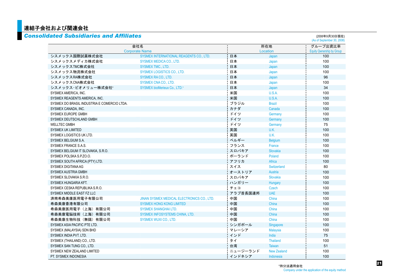## <mark>|連結子会社および関連会社</mark>

|                                             | 会社名                                        |          | 所在地                | グループ出資比率                  |
|---------------------------------------------|--------------------------------------------|----------|--------------------|---------------------------|
|                                             | <b>Corporate Name</b>                      |          | Location           | Equity Qwnership by Group |
| シスメックス国際試薬株式会社                              | SYSMEX INTERNATIONAL REAGENTS CO., LTD.    | 日本       | Japan              | 100                       |
| シスメックスメディカ株式会社                              | <b>SYSMEX MEDICA CO., LTD.</b>             | 日本       | Japan              | 100                       |
| シスメックスTMC株式会社                               | <b>SYSMEX TMC., LTD.</b>                   | 日本       | Japan              | 100                       |
| シスメックス物流株式会社                                | <b>SYSMEX LOGISTICS CO., LTD.</b>          | 日本       | Japan              | 100                       |
| シスメックスRA株式会社                                | <b>SYSMEX RACO., LTD.</b>                  | 日本       | Japan              | 96                        |
| シスメックスCNA株式会社                               | SYSMEX CNA CO., LTD.                       | 日本       | Japan              | 100                       |
| シスメックス·ビオメリュー株式会社*                          | <b>SYSMEX bioMerieux Co., LTD.*</b>        | 日本       | Japan              | 34                        |
| SYSMEX AMERICA, INC.                        |                                            | 米国       | U.S.A.             | 100                       |
| SYSMEX REAGENTS AMERICA, INC.               |                                            | 米国       | U.S.A.             | 100                       |
| SYSMEX DO BRASIL INDUSTRIA E COMERCIO LTDA. |                                            | ブラジル     | <b>Brazil</b>      | 100                       |
| SYSMEX CANADA, INC.                         |                                            | カナダ      | Canada             | 100                       |
| SYSMEX EUROPE GMBH                          |                                            | ドイツ      | Germany            | 100                       |
| SYSMEX DEUTSCHLAND GMBH                     |                                            | ドイツ      | Germany            | 100                       |
| <b>WELLTEC GMBH</b>                         |                                            | ドイツ      | Germany            | 75                        |
| <b>SYSMEX UK LIMITED</b>                    |                                            | 英国       | U.K.               | 100                       |
| SYSMEX LOGISTICS UK LTD.                    |                                            | 英国       | U.K.               | 100                       |
| SYSMEX BELGIUM S.A.                         |                                            | ベルギー     | <b>Belgium</b>     | 100                       |
| SYSMEX FRANCE S.A.S.                        |                                            | フランス     | France             | 100                       |
| SYSMEX BELGIUM IT SLOVAKIA, S.R.O.          |                                            | スロバキア    | Slovakia           | 100                       |
| SYSMEX POLSKA S.P.ZO.O.                     |                                            | ポーランド    | Poland             | 100                       |
| SYSMEX SOUTH AFRICA (PTY) LTD.              |                                            | アフリカ     | Africa             | 100                       |
| SYSMEX DIGITANA AG                          |                                            | スイス      | Switzerland        | 80                        |
| SYSMEX AUSTRIA GMBH                         |                                            | オーストリア   | Austria            | 100                       |
| SYSMEX SLOVAKIA S.R.O.                      |                                            | スロバキア    | <b>Slovakia</b>    | 100                       |
| SYSMEX HUNGARIA KFT.                        |                                            | ハンガリー    | Hungary            | 100                       |
| SYSMEX CESKA REPUBLIKA S.R.O.               |                                            | チェコ      | Czech              | 100                       |
| SYSMEX MIDDLE EAST FZ LLC                   |                                            | アラブ首長国連邦 | <b>UAE</b>         | 100                       |
| 済南希森美康医用電子有限公司                              | JINAN SYSMEX MEDICAL ELECTRONICS CO., LTD. | 中国       | China              | 100                       |
| 希森美康香港有限公司                                  | <b>SYSMEX HONG KONG LIMITED</b>            | 中国       | China              | 100                       |
| 希森美康医用電子(上海)有限公司                            | <b>SYSMEX SHANGHAI LTD.</b>                | 中国       | China              | 100                       |
| 希森美康電脳技術(上海)有限公司                            | <b>SYSMEX INFOSYSTEMS CHINA, LTD.</b>      | 中国       | China              | 100                       |
| 希森美康生物科技(無錫)有限公司                            | <b>SYSMEX WUXI CO., LTD.</b>               | 中国       | China              | 100                       |
| SYSMEX ASIA PACIFIC PTE LTD.                |                                            | シンガポール   | Singapore          | 100                       |
| SYSMEX (MALAYSIA) SDN BHD                   |                                            | マレーシア    | <b>Malaysia</b>    | 100                       |
| SYSMEX INDIA PVT. LTD.                      |                                            | インド      | India              | 75                        |
| SYSMEX (THAILAND) CO., LTD.                 |                                            | タイ       | <b>Thailand</b>    | 100                       |
| SYSMEX SAN TUNG CO., LTD.                   |                                            | 台湾       | <b>Taiwan</b>      | 51                        |
| SYSMEX NEW ZEALAND LIMITED                  |                                            | ニュージーランド | <b>New Zealand</b> | 100                       |
| PT. SYSMEX INDONESIA                        |                                            | インドネシア   | Indonesia          | 100                       |